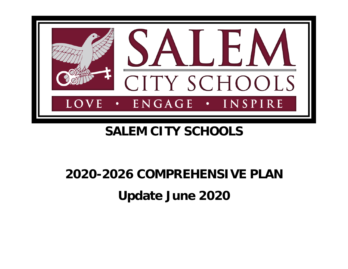

# **SALEM CITY SCHOOLS**

# **2020-2026 COMPREHENSIVE PLAN Update June 2020**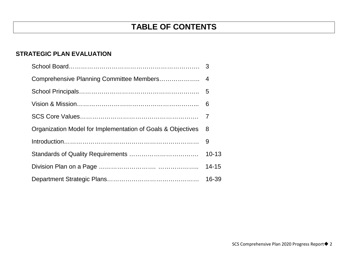## **STRATEGIC PLAN EVALUATION**

| Organization Model for Implementation of Goals & Objectives | 8         |
|-------------------------------------------------------------|-----------|
|                                                             | -9        |
|                                                             | $10 - 13$ |
|                                                             | $14 - 15$ |
|                                                             | 16-39     |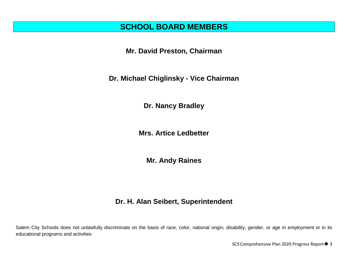## **SCHOOL BOARD MEMBERS**

**Mr. David Preston, Chairman**

**Dr. Michael Chiglinsky - Vice Chairman** 

**Dr. Nancy Bradley**

**Mrs. Artice Ledbetter**

**Mr. Andy Raines**

## **Dr. H. Alan Seibert, Superintendent**

Salem City Schools does not unlawfully discriminate on the basis of race, color, national origin, disability, gender, or age in employment or in its educational programs and activities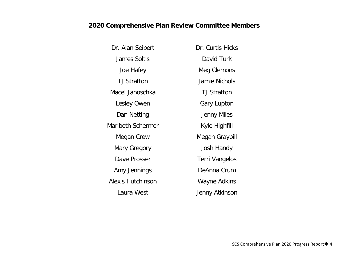## **2020 Comprehensive Plan Review Committee Members**

| Dr. Alan Seibert         | Dr. Curtis Hicks      |
|--------------------------|-----------------------|
| <b>James Soltis</b>      | David Turk            |
| Joe Hafey                | Meg Clemons           |
| <b>TJ Stratton</b>       | Jamie Nichols         |
| Macel Janoschka          | <b>TJ Stratton</b>    |
| Lesley Owen              | <b>Gary Lupton</b>    |
| Dan Netting              | Jenny Miles           |
| Maribeth Schermer        | Kyle Highfill         |
| Megan Crew               | Megan Graybill        |
| Mary Gregory             | Josh Handy            |
| Dave Prosser             | <b>Terri Vangelos</b> |
| Amy Jennings             | DeAnna Crum           |
| <b>Alexis Hutchinson</b> | Wayne Adkins          |
| Laura West               | Jenny Atkinson        |
|                          |                       |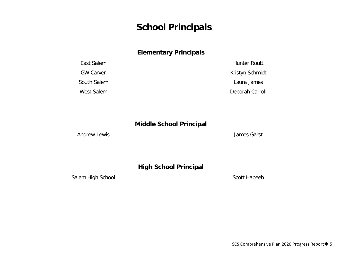## **School Principals**

### **Elementary Principals**

| East Salem       | Hunter Routt    |
|------------------|-----------------|
| <b>GW Carver</b> | Kristyn Schmidt |
| South Salem      | Laura James     |
| West Salem       | Deborah Carroll |

### **Middle School Principal**

Andrew Lewis **Andrew Lewis Andrew Lewis Andrew Lewis Canadiate** *Lewis* **Canadiate** *Lewis* **<b>Canadiate** *Lewis* **Canadiate** *Lewis* **<b>Canadiate** 

## **High School Principal**

Salem High School Salem High School Scott Habeeb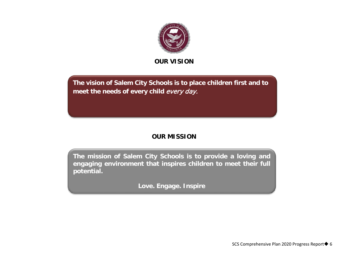

**OUR VISION**

**The vision of Salem City Schools is to place children first and to meet the needs of every child** every day.

## **OUR MISSION**

**The mission of Salem City Schools is to provide a loving and engaging environment that inspires children to meet their full potential.**

**Love. Engage. Inspire**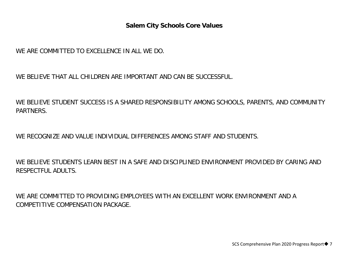### **Salem City Schools Core Values**

WE ARE COMMITTED TO EXCELLENCE IN ALL WE DO.

WE BELIEVE THAT ALL CHILDREN ARE IMPORTANT AND CAN BE SUCCESSFUL.

WE BELIEVE STUDENT SUCCESS IS A SHARED RESPONSIBILITY AMONG SCHOOLS, PARENTS, AND COMMUNITY PARTNERS.

WE RECOGNIZE AND VALUE INDIVIDUAL DIFFERENCES AMONG STAFF AND STUDENTS.

WE BELIEVE STUDENTS LEARN BEST IN A SAFE AND DISCIPLINED ENVIRONMENT PROVIDED BY CARING AND RESPECTFUL ADULTS.

WE ARE COMMITTED TO PROVIDING EMPLOYEES WITH AN EXCELLENT WORK ENVIRONMENT AND A COMPETITIVE COMPENSATION PACKAGE.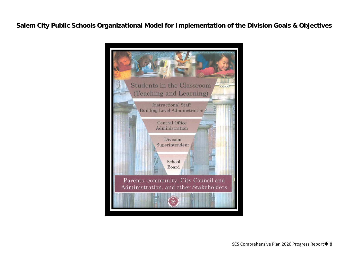**Salem City Public Schools Organizational Model for Implementation of the Division Goals & Objectives**

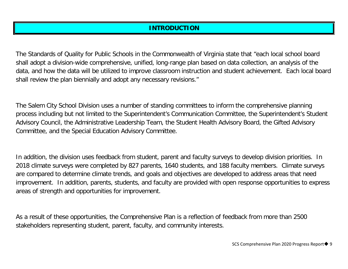## **INTRODUCTION**

The Standards of Quality for Public Schools in the Commonwealth of Virginia state that "each local school board shall adopt a division-wide comprehensive, unified, long-range plan based on data collection, an analysis of the data, and how the data will be utilized to improve classroom instruction and student achievement. Each local board shall review the plan biennially and adopt any necessary revisions."

The Salem City School Division uses a number of standing committees to inform the comprehensive planning process including but not limited to the Superintendent's Communication Committee, the Superintendent's Student Advisory Council, the Administrative Leadership Team, the Student Health Advisory Board, the Gifted Advisory Committee, and the Special Education Advisory Committee.

In addition, the division uses feedback from student, parent and faculty surveys to develop division priorities. In 2018 climate surveys were completed by 827 parents, 1640 students, and 188 faculty members. Climate surveys are compared to determine climate trends, and goals and objectives are developed to address areas that need improvement. In addition, parents, students, and faculty are provided with open response opportunities to express areas of strength and opportunities for improvement.

As a result of these opportunities, the Comprehensive Plan is a reflection of feedback from more than 2500 stakeholders representing student, parent, faculty, and community interests.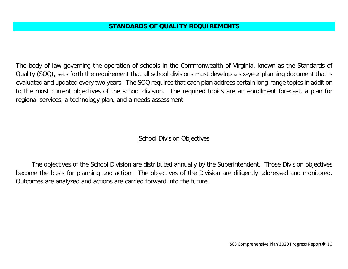The body of law governing the operation of schools in the Commonwealth of Virginia, known as the Standards of Quality (SOQ), sets forth the requirement that all school divisions must develop a six-year planning document that is evaluated and updated every two years. The SOQ requires that each plan address certain long-range topics in addition to the most current objectives of the school division. The required topics are an enrollment forecast, a plan for regional services, a technology plan, and a needs assessment.

### **School Division Objectives**

The objectives of the School Division are distributed annually by the Superintendent. Those Division objectives become the basis for planning and action. The objectives of the Division are diligently addressed and monitored. Outcomes are analyzed and actions are carried forward into the future.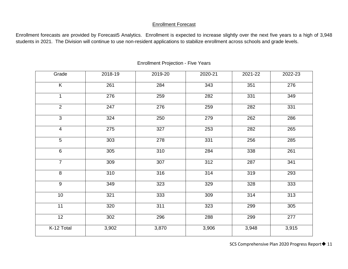### Enrollment Forecast

Enrollment forecasts are provided by Forecast5 Analytics. Enrollment is expected to increase slightly over the next five years to a high of 3,948 students in 2021. The Division will continue to use non-resident applications to stabilize enrollment across schools and grade levels.

| Grade                   | 2018-19 | 2019-20 | 2020-21 | 2021-22 | 2022-23 |
|-------------------------|---------|---------|---------|---------|---------|
| $\overline{\mathsf{K}}$ | 261     | 284     | 343     | 351     | 276     |
| $\mathbf 1$             | 276     | 259     | 282     | 331     | 349     |
| $\overline{2}$          | 247     | 276     | 259     | 282     | 331     |
| $\overline{3}$          | 324     | 250     | 279     | 262     | 286     |
| $\overline{4}$          | 275     | 327     | 253     | 282     | 265     |
| 5                       | 303     | 278     | 331     | 256     | 285     |
| 6                       | 305     | 310     | 284     | 338     | 261     |
| $\overline{7}$          | 309     | 307     | 312     | 287     | 341     |
| $\overline{8}$          | 310     | 316     | 314     | 319     | 293     |
| $\overline{9}$          | 349     | 323     | 329     | 328     | 333     |
| 10                      | 321     | 333     | 309     | 314     | 313     |
| 11                      | 320     | 311     | 323     | 299     | 305     |
| $\overline{12}$         | 302     | 296     | 288     | 299     | 277     |
| K-12 Total              | 3,902   | 3,870   | 3,906   | 3,948   | 3,915   |

### Enrollment Projection - Five Years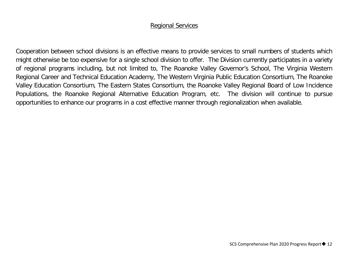### Regional Services

Cooperation between school divisions is an effective means to provide services to small numbers of students which might otherwise be too expensive for a single school division to offer. The Division currently participates in a variety of regional programs including, but not limited to, The Roanoke Valley Governor's School, The Virginia Western Regional Career and Technical Education Academy, The Western Virginia Public Education Consortium, The Roanoke Valley Education Consortium, The Eastern States Consortium, the Roanoke Valley Regional Board of Low Incidence Populations, the Roanoke Regional Alternative Education Program, etc. The division will continue to pursue opportunities to enhance our programs in a cost effective manner through regionalization when available.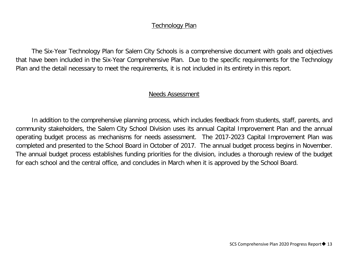### Technology Plan

The Six-Year Technology Plan for Salem City Schools is a comprehensive document with goals and objectives that have been included in the Six-Year Comprehensive Plan. Due to the specific requirements for the Technology Plan and the detail necessary to meet the requirements, it is not included in its entirety in this report.

### Needs Assessment

In addition to the comprehensive planning process, which includes feedback from students, staff, parents, and community stakeholders, the Salem City School Division uses its annual Capital Improvement Plan and the annual operating budget process as mechanisms for needs assessment. The 2017-2023 Capital Improvement Plan was completed and presented to the School Board in October of 2017. The annual budget process begins in November. The annual budget process establishes funding priorities for the division, includes a thorough review of the budget for each school and the central office, and concludes in March when it is approved by the School Board.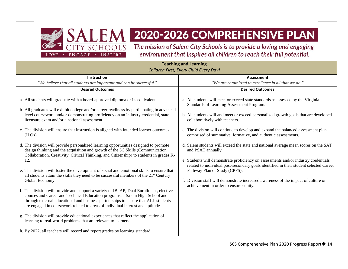![](_page_13_Picture_0.jpeg)

# SALEM 2020-2026 COMPREHENSIVE PLAN

The mission of Salem City Schools is to provide a loving and engaging environment that inspires all children to reach their full potential.

#### **Teaching and Learning** *Children First, Every Child Every Day!* **Instruction** *"We believe that all students are important and can be successful."* **Assessment** *"We are committed to excellence in all that we do."* **Desired Outcomes** a. All students will graduate with a board-approved diploma or its equivalent. b. All graduates will exhibit college and/or career readiness by participating in advanced level coursework and/or demonstrating proficiency on an industry credential, state licensure exam and/or a national assessment. c. The division will ensure that instruction is aligned with intended learner outcomes (ILOs). d. The division will provide personalized learning opportunities designed to promote design thinking and the acquisition and growth of the 5C Skills (Communication, Collaboration, Creativity, Critical Thinking, and Citizenship) to students in grades K-12. e. The division will foster the development of social and emotional skills to ensure that all students attain the skills they need to be successful members of the  $21<sup>st</sup>$  Century Global Economy. f. The division will provide and support a variety of IB, AP, Dual Enrollment, elective courses and Career and Technical Education programs at Salem High School and through external educational and business partnerships to ensure that ALL students are engaged in coursework related to areas of individual interest and aptitude. g. The division will provide educational experiences that reflect the application of learning to real-world problems that are relevant to learners. h. By 2022, all teachers will record and report grades by learning standard. **Desired Outcomes** a. All students will meet or exceed state standards as assessed by the Virginia Standards of Learning Assessment Program. b. All students will and meet or exceed personalized growth goals that are developed collaboratively with teachers. c. The division will continue to develop and expand the balanced assessment plan comprised of summative, formative, and authentic assessments. d. Salem students will exceed the state and national average mean scores on the SAT and PSAT annually. e. Students will demonstrate proficiency on assessments and/or industry credentials related to individual post-secondary goals identified in their student selected Career Pathway Plan of Study (CPPS). f. Division staff will demonstrate increased awareness of the impact of culture on achievement in order to ensure equity.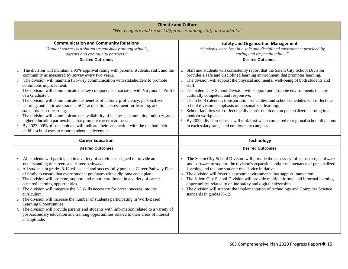| <b>Climate and Culture</b>                                                                                                                                                                                                                                                                                                                                                                                                                                                                                                                                                                                                                                                                                                                                                                                                                                            |                                                                                                                                                                                                                                                                                                                                                                                                                                                                                                                                                                                                                                                                                                                                                                                                                                                         |
|-----------------------------------------------------------------------------------------------------------------------------------------------------------------------------------------------------------------------------------------------------------------------------------------------------------------------------------------------------------------------------------------------------------------------------------------------------------------------------------------------------------------------------------------------------------------------------------------------------------------------------------------------------------------------------------------------------------------------------------------------------------------------------------------------------------------------------------------------------------------------|---------------------------------------------------------------------------------------------------------------------------------------------------------------------------------------------------------------------------------------------------------------------------------------------------------------------------------------------------------------------------------------------------------------------------------------------------------------------------------------------------------------------------------------------------------------------------------------------------------------------------------------------------------------------------------------------------------------------------------------------------------------------------------------------------------------------------------------------------------|
| "We recognize and respect differences among staff and students."                                                                                                                                                                                                                                                                                                                                                                                                                                                                                                                                                                                                                                                                                                                                                                                                      |                                                                                                                                                                                                                                                                                                                                                                                                                                                                                                                                                                                                                                                                                                                                                                                                                                                         |
| <b>Communication and Community Relations</b><br>"Student success is a shared responsibility among schools,<br>parents and community partners."<br><b>Desired Outcomes</b><br>The division will maintain a 95% approval rating with parents, students, staff, and the<br>community as measured by survey every two years.<br>b. The division will maintain two-way communication with stakeholders to promote<br>continuous improvement.<br>c. The division will communicate the key components associated with Virginia's "Profile<br>of a Graduate".<br>d. The division will communicate the benefits of cultural proficiency, personalized<br>learning, authentic assessment, 5C's acquisition, assessment for learning, and<br>standards-based learning.<br>The division will communicate the availability of business, community, industry, and<br>e.             | <b>Safety and Organization Management</b><br>"Students learn best in a safe and disciplined environment provided by<br>caring and respectful adults."<br><b>Desired Outcomes</b><br>a. Staff and students will consistently report that the Salem City School Division<br>provides a safe and disciplined learning environment that promotes learning.<br>b. The division will support the physical and mental well-being of both students and<br>staff.<br>c. The Salem City School Division will support and promote environments that are<br>culturally competent and responsive.<br>d. The school calendar, transportation schedules, and school schedules will reflect the<br>school division's emphasis on personalized learning.<br>e. School facilities will reflect the division's emphasis on personalized learning in a<br>modern workplace. |
| higher education partnerships that promote career readiness.<br>By 2023, 90% of stakeholders will indicate their satisfaction with the method their<br>f.<br>child's school uses to report student achievement.                                                                                                                                                                                                                                                                                                                                                                                                                                                                                                                                                                                                                                                       | f. By 2022, division salaries will rank first when compared to regional school divisions<br>in each salary range and employment category.                                                                                                                                                                                                                                                                                                                                                                                                                                                                                                                                                                                                                                                                                                               |
| <b>Career Education</b>                                                                                                                                                                                                                                                                                                                                                                                                                                                                                                                                                                                                                                                                                                                                                                                                                                               | <b>Technology</b>                                                                                                                                                                                                                                                                                                                                                                                                                                                                                                                                                                                                                                                                                                                                                                                                                                       |
| <b>Desired Outcomes</b>                                                                                                                                                                                                                                                                                                                                                                                                                                                                                                                                                                                                                                                                                                                                                                                                                                               | <b>Desired Outcomes</b>                                                                                                                                                                                                                                                                                                                                                                                                                                                                                                                                                                                                                                                                                                                                                                                                                                 |
| a. All students will participate in a variety of activities designed to provide an<br>understanding of careers and career pathways.<br>b. All students in grades 8-12 will select and successfully pursue a Career Pathway Plan<br>of Study to ensure that every student graduates with a diploma and a plan.<br>c. The division will promote, support and report enrollment in a variety of career-<br>centered learning opportunities.<br>d. The division will integrate the 5C skills necessary for career success into the<br>curriculum.<br>e. The division will increase the number of students participating in Work-Based<br>Learning Opportunities.<br>f. The division will provide parents and students with information related to a variety of<br>post-secondary education and training opportunities related to their areas of interest<br>and aptitude. | a. The Salem City School Division will provide the necessary infrastructure, hardware<br>and software to support the division's expansion and/or maintenance of personalized<br>learning and the one student: one device initiative.<br>b. The division will foster classroom environments that support innovation.<br>c. The Salem City School Division will provide multiple formal and informal learning<br>opportunities related to online safety and digital citizenship.<br>d. The division will support the implementation of technology and Computer Science<br>standards in grades K-12.                                                                                                                                                                                                                                                       |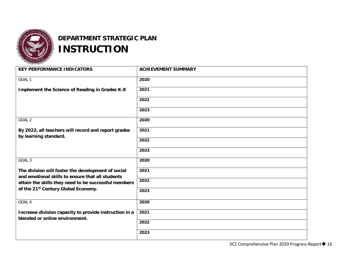![](_page_15_Picture_0.jpeg)

## **DEPARTMENT STRATEGIC PLAN INSTRUCTION**

| <b>KEY PERFORMANCE INDICATORS</b>                                                                      | <b>ACHIEVEMENT SUMMARY</b> |
|--------------------------------------------------------------------------------------------------------|----------------------------|
| GOAL 1                                                                                                 | 2020                       |
| Implement the Science of Reading in Grades K-8                                                         | 2021                       |
|                                                                                                        | 2022                       |
|                                                                                                        | 2023                       |
| GOAL <sub>2</sub>                                                                                      | 2020                       |
| By 2022, all teachers will record and report grades<br>by learning standard.                           | 2021                       |
|                                                                                                        | 2022                       |
|                                                                                                        | 2023                       |
| GOAL 3                                                                                                 | 2020                       |
| The division will foster the development of social<br>and emotional skills to ensure that all students | 2021                       |
| attain the skills they need to be successful members                                                   | 2022                       |
| of the 21st Century Global Economy.                                                                    | 2023                       |
| GOAL 4                                                                                                 | 2020                       |
| Increase division capacity to provide instruction in a<br>blended or online environment.               | 2021                       |
|                                                                                                        | 2022                       |
|                                                                                                        | 2023                       |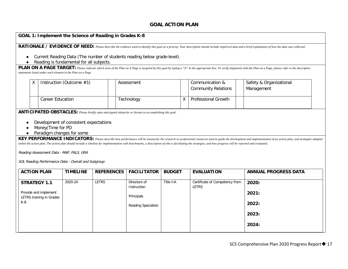#### **GOAL ACTION PLAN**

#### **GOAL 1: Implement the Science of Reading in Grades K-8**

RATIONALE / EVIDENCE OF NEED: Please describe the evidence used to identify this goal as a priority. Your description should include empirical data and a brief explanation of how the data was collected.

- Current Reading Data (The number of students reading below grade-level).
- Reading is fundamental for all subjects.

**PLAN ON A PAGE TARGET:** Please indicate which area of the Plan on A Page is targeted by this goal by typing a "X" in the appropriate box. To verify alignment with the Plan on a Page, please refer to the descriptive *statements listed under each element in the Plan on a Page*

|  | Instruction (Outcome $#1$ ) | Assessment | Communication &<br><b>Community Relations</b> | Safety & Organizational<br>Management |
|--|-----------------------------|------------|-----------------------------------------------|---------------------------------------|
|  | Career Education            | Technology | Professional Growth                           |                                       |

**ANTICIPATED OBSTACLES:** *Please briefly state anticipated obstacles or threats to accomplishing this goal.*

- Development of consistent expectations
- Money/Time for PD
- Paradigm changes for some

KEY PERFORMANCE INDICATORS: Please describe how performance will be measured, the research or professional resources used to guide the development and implementation of an action plan, and strategies adopted within the action plan. The action plan should include a timeline for implementation with benchmarks, a description of who is facilitating the strategies, and how progress will be reported and evaluated.

Reading Assessment Data - MAP, PALS, GRA

SOL Reading Performance Data - Overall and Subgroup

| <b>ACTION PLAN</b>       | <b>TIMELINE</b> | <b>REFERENCES</b> | <b>FACILITATOR</b>         | <b>BUDGET</b> | <b>EVALUATION</b>              | <b>ANNUAL PROGRESS DATA</b> |
|--------------------------|-----------------|-------------------|----------------------------|---------------|--------------------------------|-----------------------------|
|                          |                 |                   |                            |               |                                |                             |
| <b>STRATEGY 1.1</b>      | 2020-24         | LETRS             | Directors of               | Title IIA     | Certificate of Competency from | 2020:                       |
|                          |                 |                   | Instruction                |               | LETRS                          |                             |
| Provide and implement    |                 |                   |                            |               |                                | 2021:                       |
| LETRS training in Grades |                 |                   | Principals                 |               |                                |                             |
| K-8.                     |                 |                   | <b>Reading Specialists</b> |               |                                | 2022:                       |
|                          |                 |                   |                            |               |                                |                             |
|                          |                 |                   |                            |               |                                | 2023:                       |
|                          |                 |                   |                            |               |                                |                             |
|                          |                 |                   |                            |               |                                | 2024:                       |
|                          |                 |                   |                            |               |                                |                             |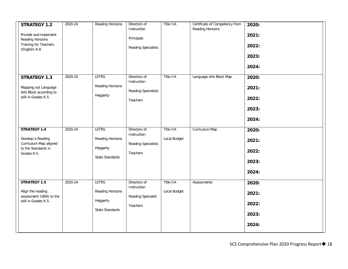| <b>STRATEGY 1.2</b><br>Provide and implement<br>Reading Horizons<br>Training for Teachers<br>(English) K-8 | 2020-24 | <b>Reading Horizons</b>                                                | Directors of<br>Instruction<br>Principals<br><b>Reading Specialists</b> | Title IIA                        | Certificate of Competency from<br>Reading Horizons | 2020:<br>2021:<br>2022:<br>2023:<br>2024: |
|------------------------------------------------------------------------------------------------------------|---------|------------------------------------------------------------------------|-------------------------------------------------------------------------|----------------------------------|----------------------------------------------------|-------------------------------------------|
| <b>STRATEGY 1.3</b><br>Mapping out Language<br>Arts Block according to<br>skill in Grades K-5.             | 2020-24 | <b>LETRS</b><br>Reading Horizons<br>Heggerty                           | Directors of<br>Instruction<br>Reading Specialists<br>Teachers          | <b>Title IIA</b>                 | Language Arts Block Map                            | 2020:<br>2021:<br>2022:<br>2023:<br>2024: |
| <b>STRATEGY 1.4</b><br>Develop a Reading<br>Curriculum Map aligned<br>to the Standards in<br>Grades K-5.   | 2020-24 | <b>LETRS</b><br>Reading Horizons<br>Heggerty<br>State Standards        | Directors of<br>Instruction<br><b>Reading Specialists</b><br>Teachers   | <b>Title IIA</b><br>Local Budget | Curriculum Map                                     | 2020:<br>2021:<br>2022:<br>2023:<br>2024: |
| <b>STRATEGY 1.5</b><br>Align the reading<br>assessment (GRA) to the<br>skill in Grades K-5.                | 2020-24 | <b>LETRS</b><br>Reading Horizons<br>Heggerty<br><b>State Standards</b> | Directors of<br>Instruction<br>Reading Specialist<br>Teachers           | <b>Title IIA</b><br>Local Budget | Assessments                                        | 2020:<br>2021:<br>2022:<br>2023:<br>2024: |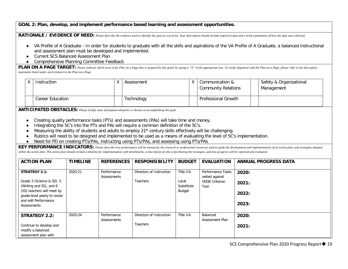#### **GOAL 2: Plan, develop, and implement performance based learning and assessment opportunities.**

RATIONALE / EVIDENCE OF NEED: *Please describe the evidence used to identify this goal as a priority. Your description should include empirical data and a brief explanation of how the data was collected.* 

- VA Profile of A Graduate In order for students to graduate with all the skills and aspirations of the VA Profile of A Graduate, a balanced instructional and assessment plan must be developed and implemented.
- Current SCS Balanced Assessment Plan
- Comprehensive Planning Committee Feedback

**PLAN ON A PAGE TARGET:** Please indicate which area of the Plan on a Page that is targeted by this goal1 by typing a "X" in the appropriate box. To verify alignment with the Plan on a Page, please refer to the descriptive *statements listed under each element in the Plan on a Page*

|  | Instruction      | Assessment | $\vee$ | Communication &<br><b>Community Relations</b> | Safety & Organizational<br>Management |
|--|------------------|------------|--------|-----------------------------------------------|---------------------------------------|
|  | Career Education | Technology |        | <b>Professional Growth</b>                    |                                       |

**ANTICIPATED OBSTACLES:** *Please briefly state anticipated obstacles or threats to accomplishing this goal.*

- Creating quality performance tasks (PTs) and assessments (PAs) will take time and money.
- Integrating the 5C's into the PTs and PAs will require a common definition of the 5C's.
- Measuring the ability of students and adults to employ 21<sup>st</sup> century skills effectively will be challenging.
- Rubrics will need to be designed and implemented to be used as a means of evaluating the level of 5C's implementation.
- Need for PD on creating PTs/PAs, instructing using PTs/PAs, and assessing using PTs/PAs

**KEY PERFORMANCE INDICATORS:** *Please describe how performance will be measured, the research or professional resources used to guide the development and implementation of an action plan, and strategies adopted*  within the action plan. The action plan should include a timeline for implementation with benchmarks, a description of who is facilitating the strategies, and how progress will be reported and evaluated.

| <b>ACTION PLAN</b>                                                                                                                                                                | <b>TIMELINE</b> | <b>REFERENCES</b>          | <b>RESPONSIBILITY</b>                       | <b>BUDGET</b>                              | <b>EVALUATION</b>                                                     | <b>ANNUAL PROGRESS DATA</b>      |
|-----------------------------------------------------------------------------------------------------------------------------------------------------------------------------------|-----------------|----------------------------|---------------------------------------------|--------------------------------------------|-----------------------------------------------------------------------|----------------------------------|
| <b>STRATEGY 2.1:</b><br>Grade 3 (Science & SS), 5<br>(Writing and SS), and 6<br>(SS) teachers will meet by<br>grade-level yearly to revise<br>and edit Performance<br>Assessments | 2020-21         | Performance<br>Assessments | Directors of Instruction<br><b>Teachers</b> | Title IIA<br>Local<br>Substitute<br>Budget | Performance Tasks<br>vetted against<br><b>VDOE Criterion</b><br>Tool. | 2020:<br>2021:<br>2022:<br>2023: |
| <b>STRATEGY 2.2:</b><br>Continue to develop and<br>modify a balanced<br>assessment plan with                                                                                      | 2020-24         | Performance<br>Assessments | Directors of Instruction<br><b>Teachers</b> | Title IIA                                  | Balanced<br>Assessment Plan                                           | 2020:<br>2021:                   |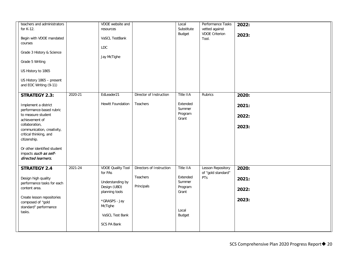| teachers and administrators<br>for K-12.<br>Begin with VDOE mandated<br>courses<br>Grade 3 History & Science<br>Grade 5 Writing<br>US History to 1865<br>US History 1865 - present                                                                                                       |         | VDOE website and<br>resources<br>VaSCL TestBank<br>LDC<br>Jay McTighe                                                                                   |                                                    | Local<br>Substitute<br>Budget                                                 | Performance Tasks<br>vetted against<br><b>VDOE Criterion</b><br>Tool. | 2022:<br>2023:                   |
|------------------------------------------------------------------------------------------------------------------------------------------------------------------------------------------------------------------------------------------------------------------------------------------|---------|---------------------------------------------------------------------------------------------------------------------------------------------------------|----------------------------------------------------|-------------------------------------------------------------------------------|-----------------------------------------------------------------------|----------------------------------|
| and EOC Writing (9-11)                                                                                                                                                                                                                                                                   |         |                                                                                                                                                         |                                                    |                                                                               |                                                                       |                                  |
| <b>STRATEGY 2.3:</b><br>Implement a district<br>performance-based rubric<br>to measure student<br>achievement of<br>collaboration,<br>communication, creativity,<br>critical thinking, and<br>citizenship.<br>Or other identified student<br>impacts such as self-<br>directed learners. | 2020-21 | EdLeader21<br>Hewitt Foundation                                                                                                                         | Director of Instruction<br>Teachers                | Title IIA<br>Extended<br>Summer<br>Program<br>Grant                           | Rubrics                                                               | 2020:<br>2021:<br>2022:<br>2023: |
| <b>STRATEGY 2.4</b><br>Design high quality<br>performance tasks for each<br>content area.<br>Create lesson repositories<br>composed of "gold<br>standard" performance<br>tasks.                                                                                                          | 2021-24 | <b>VDOE Quality Tool</b><br>for PAs<br>Understanding by<br>Design (UBD)<br>planning tools<br>*GRASPS - Jay<br>McTighe<br>VaSCL Test Bank<br>SCS PA Bank | Directors of Instruction<br>Teachers<br>Principals | Title IIA<br>Extended<br>Summer<br>Program<br>Grant<br>Local<br><b>Budget</b> | <b>Lesson Repository</b><br>of "gold standard"<br><b>PTs</b>          | 2020:<br>2021:<br>2022:<br>2023: |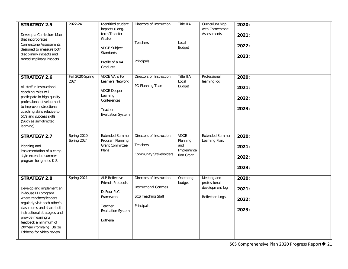| <b>STRATEGY 2.5</b><br>Develop a Curriculum Map<br>that incorporates<br><b>Cornerstone Assessments</b><br>designed to measure both<br>disciplinary impacts and<br>transdisciplinary impacts                                                                                                             | 2022-24                      | Identified student<br>impacts (Long-<br>term Transfer<br>Goals)<br><b>VDOE Subject</b><br>Standards<br>Profile of a VA<br>Graduate       | Directors of Instruction<br><b>Teachers</b><br>Principals                                           | Title IIA<br>Local<br>Budget                               | Curriculum Map<br>with Cornerstone<br><b>Assessments</b>                 | 2020:<br>2021:<br>2022:<br>2023: |
|---------------------------------------------------------------------------------------------------------------------------------------------------------------------------------------------------------------------------------------------------------------------------------------------------------|------------------------------|------------------------------------------------------------------------------------------------------------------------------------------|-----------------------------------------------------------------------------------------------------|------------------------------------------------------------|--------------------------------------------------------------------------|----------------------------------|
| <b>STRATEGY 2.6</b><br>All staff in instructional<br>coaching roles will<br>participate in high quality<br>professional development<br>to improve instructional<br>coaching skills relative to<br>5C's and success skills<br>(Such as self-directed<br>learning)                                        | Fall 2020-Spring<br>2024     | <b>VDOE VA is For</b><br><b>Learners Network</b><br><b>VDOE</b> Deeper<br>Learning<br>Conferences<br>Teacher<br><b>Evaluation System</b> | Directors of Instruction<br>PD Planning Team                                                        | Title IIA<br>Local<br>Budget                               | Professional<br>learning log                                             | 2020:<br>2021:<br>2022:<br>2023: |
| <b>STRATEGY 2.7</b><br>Planning and<br>implementation of a camp<br>style extended summer<br>program for grades K-8.                                                                                                                                                                                     | Spring 2020 -<br>Spring 2024 | <b>Extended Summer</b><br>Program Planning<br><b>Grant Committee</b><br>Plans                                                            | Directors of Instruction<br>Teachers<br><b>Community Stakeholders</b>                               | <b>VDOE</b><br>Planning<br>and<br>Implementa<br>tion Grant | <b>Extended Summer</b><br>Learning Plan.                                 | 2020:<br>2021:<br>2022:<br>2023: |
| <b>STRATEGY 2.8</b><br>Develop and implement an<br>in-house PD program<br>where teachers/leaders<br>regularly visit each other's<br>classrooms and share both<br>instructional strategies and<br>provide meaningful<br>feedback a minimum of<br>2X/Year (formally). Utilize<br>Edthena for Video review | Spring 2021                  | <b>ALP Reflective</b><br>Friends Protocols<br>DuFour PLC<br>Framework<br>Teacher<br><b>Evaluation System</b><br>Edthena                  | Directors of Instruction<br><b>Instructional Coaches</b><br><b>SCS Teaching Staff</b><br>Principals | Operating<br>budget                                        | Meeting and<br>professional<br>development log<br><b>Reflection Logs</b> | 2020:<br>2021:<br>2022:<br>2023: |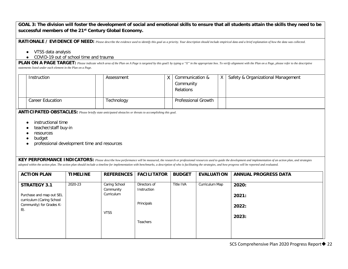#### **GOAL 3: The division will foster the development of social and emotional skills to ensure that all students attain the skills they need to be successful members of the 21st Century Global Economy.**

RATIONALE / EVIDENCE OF NEED: Please describe the evidence used to identify this goal as a priority. Your description should include empirical data and a brief explanation of how the data was collected.

- VTSS data analysis
- COVID-19 out of school time and trauma

**PLAN ON A PAGE TARGET:** Please indicate which area of the Plan on A Page is targeted by this goal1 by typing a "X" in the appropriate box. To verify alignment with the Plan on a Page, please refer to the descriptive *statements listed under each element in the Plan on a Page.*

|  | Instruction      | Assessment | Communication &<br>Community<br><b>Relations</b> | Y | Safety & Organizational Management |
|--|------------------|------------|--------------------------------------------------|---|------------------------------------|
|  | Career Education | Technology | <b>Professional Growth</b>                       |   |                                    |

**ANTICIPATED OBSTACLES:** *Please briefly state anticipated obstacles or threats to accomplishing this goal.*

- instructional time
- teacher/staff buy-in
- resources
- budget
- professional development time and resources

**KEY PERFORMANCE INDICATORS:** *Please describe how performance will be measured, the research or professional resources used to guide the development and implementation of an action plan, and strategies adopted within the action plan. The action plan should include a timeline for implementation with benchmarks, a description of who is facilitating the strategies, and how progress will be reported and evaluated.*

| <b>ACTION PLAN</b>                                    | <b>TIMELINE</b> | <b>REFERENCES</b>          | <b>FACILITATOR</b>          | <b>BUDGET</b> | <b>EVALUATION</b> | <b>ANNUAL PROGRESS DATA</b> |
|-------------------------------------------------------|-----------------|----------------------------|-----------------------------|---------------|-------------------|-----------------------------|
| <b>STRATEGY 3.1</b>                                   | 2020-23         | Caring School<br>Community | Directors of<br>Instruction | Title IVA     | Curriculum Map    | 2020:                       |
| Purchase and map out SEL<br>curriculum (Caring School |                 | Curriculum                 |                             |               |                   | 2021:                       |
| Community) for Grades K-<br>8).                       |                 |                            | Principals                  |               |                   | 2022:                       |
|                                                       |                 | <b>VTSS</b>                | <b>Teachers</b>             |               |                   | 2023:                       |
|                                                       |                 |                            |                             |               |                   |                             |
|                                                       |                 |                            |                             |               |                   |                             |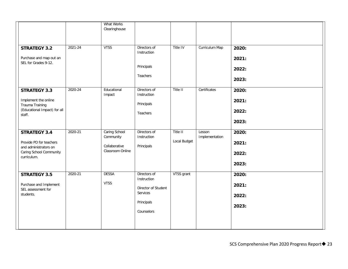| <b>STRATEGY 3.2</b><br>Purchase and map out an<br>SEL for Grades 9-12.                                            | $2021 - 24$ | What Works<br>Clearinghouse<br><b>VTSS</b>                      | Directors of<br>Instruction<br>Principals<br>Teachers                                      | Title IV                 | Curriculum Map           | 2020:<br>2021:<br>2022:          |
|-------------------------------------------------------------------------------------------------------------------|-------------|-----------------------------------------------------------------|--------------------------------------------------------------------------------------------|--------------------------|--------------------------|----------------------------------|
| <b>STRATEGY 3.3</b>                                                                                               | 2020-24     | Educational                                                     | Directors of                                                                               | Title II                 | Certificates             | 2023:<br>2020:                   |
| Implement the online<br>Trauma Training<br>(Educational Impact) for all<br>staff.                                 |             | Impact                                                          | Instruction<br>Principals<br>Teachers                                                      |                          |                          | 2021:<br>2022:<br>2023:          |
| <b>STRATEGY 3.4</b><br>Provide PD for teachers<br>and administrators on<br>Caring School Community<br>curriculum. | 2020-21     | Caring School<br>Community<br>Collaborative<br>Classroom Online | Directors of<br>Instruction<br>Principals                                                  | Title II<br>Local Budget | Lesson<br>Implementation | 2020:<br>2021:<br>2022:<br>2023: |
| <b>STRATEGY 3.5</b><br>Purchase and Implement<br>SEL assessment for<br>students.                                  | 2020-21     | <b>DESSA</b><br><b>VTSS</b>                                     | Directors of<br>Instruction<br>Director of Student<br>Services<br>Principals<br>Counselors | VTSS grant               |                          | 2020:<br>2021:<br>2022:<br>2023: |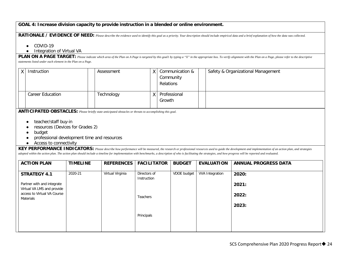#### **GOAL 4: Increase division capacity to provide instruction in a blended or online environment.**

### **RATIONALE / EVIDENCE OF NEED:** *Please describe the evidence used to identify this goal as a priority. Your description should include empirical data and a brief explanation of how the data was collected.*

- COVID-19
- Integration of Virtual VA

PLAN ON A PAGE TARGET: Please indicate which area of the Plan on A Page is targeted by this goall by typing a "X" in the appropriate box. To verify alignment with the Plan on a Page, please refer to the descriptive *statements listed under each element in the Plan on a Page.*

|  | Instruction             | Assessment | Communication &<br>Community<br>Relations | Safety & Organizational Management |
|--|-------------------------|------------|-------------------------------------------|------------------------------------|
|  | <b>Career Education</b> | Technology | Professional<br>Growth                    |                                    |

**ANTICIPATED OBSTACLES:** *Please briefly state anticipated obstacles or threats to accomplishing this goal.*

- teacher/staff buy-in
- resources (Devices for Grades 2)
- budget
- professional development time and resources
- Access to connectivity

**KEY PERFORMANCE INDICATORS:** *Please describe how performance will be measured, the research or professional resources used to guide the development and implementation of an action plan, and strategies adopted within the action plan. The action plan should include a timeline for implementation with benchmarks, a description of who is facilitating the strategies, and how progress will be reported and evaluated.*

| <b>ACTION PLAN</b>                                       | <b>TIMELINE</b> | <b>REFERENCES</b> | <b>FACILITATOR</b>          | <b>BUDGET</b> | <b>EVALUATION</b>      | <b>ANNUAL PROGRESS DATA</b> |
|----------------------------------------------------------|-----------------|-------------------|-----------------------------|---------------|------------------------|-----------------------------|
| <b>STRATEGY 4.1</b>                                      | 2020-21         | Virtual Virginia  | Directors of<br>Instruction | VDOE budget   | <b>VVA Integration</b> | 2020:                       |
| Partner with and integrate<br>Virtual VA LMS and provide |                 |                   |                             |               |                        | 2021:                       |
| access to Virtual VA Course<br>Materials                 |                 |                   | <b>Teachers</b>             |               |                        | 2022:                       |
|                                                          |                 |                   |                             |               |                        | 2023:                       |
|                                                          |                 |                   | Principals                  |               |                        |                             |
|                                                          |                 |                   |                             |               |                        |                             |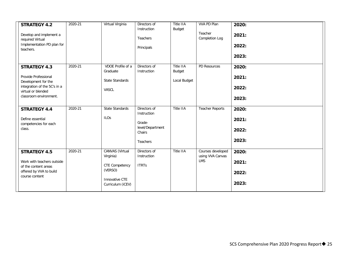| <b>STRATEGY 4.2</b><br>Develop and implement a<br>required Virtual<br>Implementation PD plan for<br>teachers.                                      | 2020-21 | Virtual Virginia                                                                                        | Directors of<br>Instruction<br>Teachers<br>Principals                                  | Title IIA<br>Budget                 | VVA PD Plan<br>Teacher<br>Completion Log     | 2020:<br>2021:<br>2022:<br>2023: |
|----------------------------------------------------------------------------------------------------------------------------------------------------|---------|---------------------------------------------------------------------------------------------------------|----------------------------------------------------------------------------------------|-------------------------------------|----------------------------------------------|----------------------------------|
| <b>STRATEGY 4.3</b><br>Provide Professional<br>Development for the<br>integration of the 5C's in a<br>virtual or blended<br>classroom environment. | 2020-21 | VDOE Profile of a<br>Graduate<br>State Standards<br>VASCL                                               | Directors of<br>Instruction                                                            | Title IIA<br>Budget<br>Local Budget | PD Resources                                 | 2020:<br>2021:<br>2022:<br>2023: |
| <b>STRATEGY 4.4</b><br>Define essential<br>competencies for each<br>class.                                                                         | 2020-21 | State Standards<br><b>ILOs</b>                                                                          | Directors of<br>Instruction<br>Grade-<br>level/Department<br>Chairs<br><b>Teachers</b> | Title IIA                           | <b>Teacher Reports</b>                       | 2020:<br>2021:<br>2022:<br>2023: |
| <b>STRATEGY 4.5</b><br>Work with teachers outside<br>of the content areas<br>offered by VVA to build<br>course content                             | 2020-21 | CANVAS (Virtual<br>Virginia)<br><b>CTE Competency</b><br>(VERSO)<br>Innovative CTE<br>Curriculum (iCEV) | Directors of<br>Instruction<br><b>ITRTs</b>                                            | Title IIA                           | Courses developed<br>using VVA Canvas<br>LMS | 2020:<br>2021:<br>2022:<br>2023: |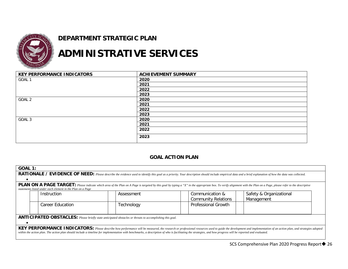![](_page_25_Picture_0.jpeg)

## **DEPARTMENT STRATEGIC PLAN**

## **ADMINISTRATIVE SERVICES**

| <b>KEY PERFORMANCE INDICATORS</b> | <b>ACHIEVEMENT SUMMARY</b> |
|-----------------------------------|----------------------------|
| GOAL 1                            | 2020                       |
|                                   | 2021                       |
|                                   | 2022                       |
|                                   | 2023                       |
| GOAL 2                            | 2020                       |
|                                   | 2021                       |
|                                   | 2022                       |
|                                   | 2023                       |
| GOAL 3                            | 2020                       |
|                                   | 2021                       |
|                                   | 2022                       |
|                                   | 2023                       |

### **GOAL ACTION PLAN**

| <b>GOAL 1:</b> |                                                                                                                                                                                                                                                                                            |                                                                                                                                                                                                                                                                                                                                                                                                                                |                                               |                                       |  |  |  |  |  |
|----------------|--------------------------------------------------------------------------------------------------------------------------------------------------------------------------------------------------------------------------------------------------------------------------------------------|--------------------------------------------------------------------------------------------------------------------------------------------------------------------------------------------------------------------------------------------------------------------------------------------------------------------------------------------------------------------------------------------------------------------------------|-----------------------------------------------|---------------------------------------|--|--|--|--|--|
|                | RATIONALE / EVIDENCE OF NEED: Please describe the evidence used to identify this goal as a priority. Your description should include empirical data and a brief explanation of how the data was collected.                                                                                 |                                                                                                                                                                                                                                                                                                                                                                                                                                |                                               |                                       |  |  |  |  |  |
|                |                                                                                                                                                                                                                                                                                            |                                                                                                                                                                                                                                                                                                                                                                                                                                |                                               |                                       |  |  |  |  |  |
|                | <b>PLAN ON A PAGE TARGET:</b> Please indicate which area of the Plan on A Page is targeted by this goal by typing a "X" in the appropriate box. To verify alignment with the Plan on a Page, please refer to the descriptive<br>statements listed under each element in the Plan on a Page |                                                                                                                                                                                                                                                                                                                                                                                                                                |                                               |                                       |  |  |  |  |  |
|                | Instruction                                                                                                                                                                                                                                                                                | Assessment                                                                                                                                                                                                                                                                                                                                                                                                                     | Communication &<br><b>Community Relations</b> | Safety & Organizational<br>Management |  |  |  |  |  |
|                | <b>Career Education</b>                                                                                                                                                                                                                                                                    | Technology                                                                                                                                                                                                                                                                                                                                                                                                                     | <b>Professional Growth</b>                    |                                       |  |  |  |  |  |
|                | ANTICIPATED OBSTACLES: Please briefly state anticipated obstacles or threats to accomplishing this goal.                                                                                                                                                                                   |                                                                                                                                                                                                                                                                                                                                                                                                                                |                                               |                                       |  |  |  |  |  |
|                |                                                                                                                                                                                                                                                                                            | KEY PERFORMANCE INDICATORS: Please describe how performance will be measured, the research or professional resources used to guide the development and implementation of an action plan, and strategies adopted<br>within the action plan. The action plan should include a timeline for implementation with benchmarks, a description of who is facilitating the strategies, and how progress will be reported and evaluated. |                                               |                                       |  |  |  |  |  |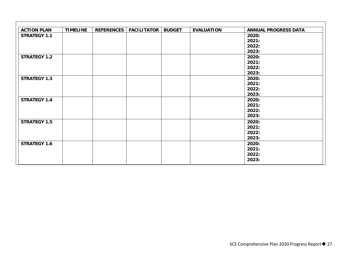| <b>ACTION PLAN</b>  | <b>TIMELINE</b> | <b>REFERENCES</b> | <b>FACILITATOR</b> | <b>BUDGET</b> | <b>EVALUATION</b> | <b>ANNUAL PROGRESS DATA</b> |
|---------------------|-----------------|-------------------|--------------------|---------------|-------------------|-----------------------------|
| <b>STRATEGY 1.1</b> |                 |                   |                    |               |                   | 2020:                       |
|                     |                 |                   |                    |               |                   | 2021:                       |
|                     |                 |                   |                    |               |                   | 2022:                       |
|                     |                 |                   |                    |               |                   | 2023:                       |
| <b>STRATEGY 1.2</b> |                 |                   |                    |               |                   | 2020:                       |
|                     |                 |                   |                    |               |                   | 2021:                       |
|                     |                 |                   |                    |               |                   | 2022:                       |
|                     |                 |                   |                    |               |                   | 2023:                       |
| <b>STRATEGY 1.3</b> |                 |                   |                    |               |                   | 2020:                       |
|                     |                 |                   |                    |               |                   | 2021:                       |
|                     |                 |                   |                    |               |                   | 2022:                       |
|                     |                 |                   |                    |               |                   | 2023:                       |
| <b>STRATEGY 1.4</b> |                 |                   |                    |               |                   | 2020:                       |
|                     |                 |                   |                    |               |                   | 2021:                       |
|                     |                 |                   |                    |               |                   | 2022:                       |
|                     |                 |                   |                    |               |                   | 2023:                       |
| <b>STRATEGY 1.5</b> |                 |                   |                    |               |                   | 2020:                       |
|                     |                 |                   |                    |               |                   | 2021:                       |
|                     |                 |                   |                    |               |                   | 2022:                       |
|                     |                 |                   |                    |               |                   | 2023:                       |
| <b>STRATEGY 1.6</b> |                 |                   |                    |               |                   | 2020:                       |
|                     |                 |                   |                    |               |                   | 2021:                       |
|                     |                 |                   |                    |               |                   | 2022:                       |
|                     |                 |                   |                    |               |                   | 2023:                       |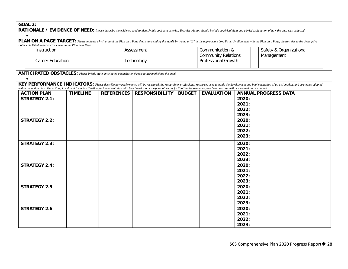| GOAL |  |
|------|--|
|      |  |

| OUAL 2.   | RATIONALE / EVIDENCE OF NEED: Please describe the evidence used to identify this goal as a priority. Your description should include empirical data and a brief explanation of how the data was collected. |                 |                   |                                                                                                                                                                                                                                      |                            |                     |                         |                                                                                                                                                                                                                             |
|-----------|------------------------------------------------------------------------------------------------------------------------------------------------------------------------------------------------------------|-----------------|-------------------|--------------------------------------------------------------------------------------------------------------------------------------------------------------------------------------------------------------------------------------|----------------------------|---------------------|-------------------------|-----------------------------------------------------------------------------------------------------------------------------------------------------------------------------------------------------------------------------|
|           |                                                                                                                                                                                                            |                 |                   |                                                                                                                                                                                                                                      |                            |                     |                         |                                                                                                                                                                                                                             |
| $\bullet$ |                                                                                                                                                                                                            |                 |                   |                                                                                                                                                                                                                                      |                            |                     |                         |                                                                                                                                                                                                                             |
|           | statements listed under each element in the Plan on a Page                                                                                                                                                 |                 |                   |                                                                                                                                                                                                                                      |                            |                     |                         | PLAN ON A PAGE TARGET: Please indicate which area of the Plan on a Page that is targeted by this goall by typing a "X" in the appropriate box. To verify alignment with the Plan on a Page, please refer to the descriptive |
|           | Instruction                                                                                                                                                                                                |                 |                   | Assessment                                                                                                                                                                                                                           | Communication &            |                     | Safety & Organizational |                                                                                                                                                                                                                             |
|           |                                                                                                                                                                                                            |                 |                   |                                                                                                                                                                                                                                      | <b>Community Relations</b> |                     | Management              |                                                                                                                                                                                                                             |
|           | <b>Career Education</b>                                                                                                                                                                                    |                 |                   | Technology                                                                                                                                                                                                                           |                            | Professional Growth |                         |                                                                                                                                                                                                                             |
|           |                                                                                                                                                                                                            |                 |                   |                                                                                                                                                                                                                                      |                            |                     |                         |                                                                                                                                                                                                                             |
|           |                                                                                                                                                                                                            |                 |                   | <b>ANTICIPATED OBSTACLES:</b> Please briefly state anticipated obstacles or threats to accomplishing this goal.                                                                                                                      |                            |                     |                         |                                                                                                                                                                                                                             |
| $\bullet$ |                                                                                                                                                                                                            |                 |                   |                                                                                                                                                                                                                                      |                            |                     |                         |                                                                                                                                                                                                                             |
|           |                                                                                                                                                                                                            |                 |                   |                                                                                                                                                                                                                                      |                            |                     |                         | KEY PERFORMANCE INDICATORS: Please describe how performance will be measured, the research or professional resources used to guide the development and implementation of an action plan, and strategies adopted             |
|           | <b>ACTION PLAN</b>                                                                                                                                                                                         | <b>TIMELINE</b> | <b>REFERENCES</b> | within the action plan. The action plan should include a timeline for implementation with benchmarks, a description of who is facilitating the strategies, and how progress will be reported and evaluated.<br><b>RESPONSIBILITY</b> | <b>BUDGET</b>              | <b>EVALUATION</b>   |                         | <b>ANNUAL PROGRESS DATA</b>                                                                                                                                                                                                 |
|           | <b>STRATEGY 2.1:</b>                                                                                                                                                                                       |                 |                   |                                                                                                                                                                                                                                      |                            |                     | 2020:                   |                                                                                                                                                                                                                             |
|           |                                                                                                                                                                                                            |                 |                   |                                                                                                                                                                                                                                      |                            |                     | 2021:                   |                                                                                                                                                                                                                             |
|           |                                                                                                                                                                                                            |                 |                   |                                                                                                                                                                                                                                      |                            |                     | 2022:                   |                                                                                                                                                                                                                             |
|           |                                                                                                                                                                                                            |                 |                   |                                                                                                                                                                                                                                      |                            |                     | 2023:                   |                                                                                                                                                                                                                             |
|           | <b>STRATEGY 2.2:</b>                                                                                                                                                                                       |                 |                   |                                                                                                                                                                                                                                      |                            |                     | 2020:                   |                                                                                                                                                                                                                             |
|           |                                                                                                                                                                                                            |                 |                   |                                                                                                                                                                                                                                      |                            |                     | 2021:                   |                                                                                                                                                                                                                             |
|           |                                                                                                                                                                                                            |                 |                   |                                                                                                                                                                                                                                      |                            |                     | 2022:                   |                                                                                                                                                                                                                             |
|           |                                                                                                                                                                                                            |                 |                   |                                                                                                                                                                                                                                      |                            |                     | 2023:                   |                                                                                                                                                                                                                             |
|           | <b>STRATEGY 2.3:</b>                                                                                                                                                                                       |                 |                   |                                                                                                                                                                                                                                      |                            |                     | 2020:                   |                                                                                                                                                                                                                             |
|           |                                                                                                                                                                                                            |                 |                   |                                                                                                                                                                                                                                      |                            |                     | 2021:                   |                                                                                                                                                                                                                             |
|           |                                                                                                                                                                                                            |                 |                   |                                                                                                                                                                                                                                      |                            |                     | 2022:                   |                                                                                                                                                                                                                             |
|           |                                                                                                                                                                                                            |                 |                   |                                                                                                                                                                                                                                      |                            |                     | 2023:                   |                                                                                                                                                                                                                             |
|           | <b>STRATEGY 2.4:</b>                                                                                                                                                                                       |                 |                   |                                                                                                                                                                                                                                      |                            |                     | 2020:                   |                                                                                                                                                                                                                             |
|           |                                                                                                                                                                                                            |                 |                   |                                                                                                                                                                                                                                      |                            |                     | 2021:                   |                                                                                                                                                                                                                             |
|           |                                                                                                                                                                                                            |                 |                   |                                                                                                                                                                                                                                      |                            |                     | 2022:                   |                                                                                                                                                                                                                             |
|           |                                                                                                                                                                                                            |                 |                   |                                                                                                                                                                                                                                      |                            |                     | 2023:                   |                                                                                                                                                                                                                             |
|           | <b>STRATEGY 2.5</b>                                                                                                                                                                                        |                 |                   |                                                                                                                                                                                                                                      |                            |                     | 2020:                   |                                                                                                                                                                                                                             |
|           |                                                                                                                                                                                                            |                 |                   |                                                                                                                                                                                                                                      |                            |                     | 2021:                   |                                                                                                                                                                                                                             |
|           |                                                                                                                                                                                                            |                 |                   |                                                                                                                                                                                                                                      |                            |                     | 2022:                   |                                                                                                                                                                                                                             |
|           |                                                                                                                                                                                                            |                 |                   |                                                                                                                                                                                                                                      |                            |                     | 2023:                   |                                                                                                                                                                                                                             |
|           | <b>STRATEGY 2.6</b>                                                                                                                                                                                        |                 |                   |                                                                                                                                                                                                                                      |                            |                     | 2020:                   |                                                                                                                                                                                                                             |
|           |                                                                                                                                                                                                            |                 |                   |                                                                                                                                                                                                                                      |                            |                     | 2021:                   |                                                                                                                                                                                                                             |
|           |                                                                                                                                                                                                            |                 |                   |                                                                                                                                                                                                                                      |                            |                     | 2022:                   |                                                                                                                                                                                                                             |
|           |                                                                                                                                                                                                            |                 |                   |                                                                                                                                                                                                                                      |                            |                     | 2023:                   |                                                                                                                                                                                                                             |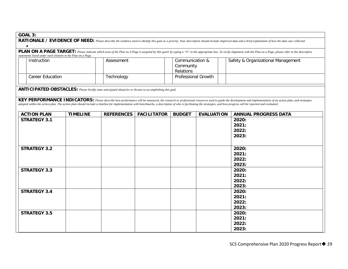| RATIONALE / EVIDENCE OF NEED: Please describe the evidence used to identify this goal as a priority. Your description should include empirical data and a brief explanation of how the data was collected.                                                                            |                                                                                                                 |  |                   |                    |                                           |                   |                                                                                                                                                                                                                                                                                                                                                                                                                                |  |  |
|---------------------------------------------------------------------------------------------------------------------------------------------------------------------------------------------------------------------------------------------------------------------------------------|-----------------------------------------------------------------------------------------------------------------|--|-------------------|--------------------|-------------------------------------------|-------------------|--------------------------------------------------------------------------------------------------------------------------------------------------------------------------------------------------------------------------------------------------------------------------------------------------------------------------------------------------------------------------------------------------------------------------------|--|--|
| PLAN ON A PAGE TARGET: Please indicate which area of the Plan on A Page is targeted by this goall by typing a "X" in the appropriate box. To verify alignment with the Plan on a Page, please refer to the descriptive<br>statements listed under each element in the Plan on a Page. |                                                                                                                 |  |                   |                    |                                           |                   |                                                                                                                                                                                                                                                                                                                                                                                                                                |  |  |
| Instruction                                                                                                                                                                                                                                                                           |                                                                                                                 |  | Assessment        |                    | Communication &<br>Community<br>Relations |                   | Safety & Organizational Management                                                                                                                                                                                                                                                                                                                                                                                             |  |  |
| <b>Career Education</b>                                                                                                                                                                                                                                                               |                                                                                                                 |  | Technology        |                    | <b>Professional Growth</b>                |                   |                                                                                                                                                                                                                                                                                                                                                                                                                                |  |  |
|                                                                                                                                                                                                                                                                                       | <b>ANTICIPATED OBSTACLES:</b> Please briefly state anticipated obstacles or threats to accomplishing this goal. |  |                   |                    |                                           |                   |                                                                                                                                                                                                                                                                                                                                                                                                                                |  |  |
|                                                                                                                                                                                                                                                                                       |                                                                                                                 |  |                   |                    |                                           |                   | KEY PERFORMANCE INDICATORS: Please describe how performance will be measured, the research or professional resources used to guide the development and implementation of an action plan, and strategies<br>adopted within the action plan. The action plan should include a timeline for implementation with benchmarks, a description of who is facilitating the strategies, and how progress will be reported and evaluated. |  |  |
| <b>ACTION PLAN</b>                                                                                                                                                                                                                                                                    | <b>TIMELINE</b>                                                                                                 |  | <b>REFERENCES</b> | <b>FACILITATOR</b> | <b>BUDGET</b>                             | <b>EVALUATION</b> | <b>ANNUAL PROGRESS DATA</b>                                                                                                                                                                                                                                                                                                                                                                                                    |  |  |
| <b>STRATEGY 3.1</b>                                                                                                                                                                                                                                                                   |                                                                                                                 |  |                   |                    |                                           |                   | 2020:<br>2021:<br>2022:<br>2023:                                                                                                                                                                                                                                                                                                                                                                                               |  |  |
| <b>STRATEGY 3.2</b>                                                                                                                                                                                                                                                                   |                                                                                                                 |  |                   |                    |                                           |                   | 2020:<br>2021:<br>2022:<br>2023:                                                                                                                                                                                                                                                                                                                                                                                               |  |  |
| <b>STRATEGY 3.3</b>                                                                                                                                                                                                                                                                   |                                                                                                                 |  |                   |                    |                                           |                   | 2020:<br>2021:<br>2022:<br>2023:                                                                                                                                                                                                                                                                                                                                                                                               |  |  |
| <b>STRATEGY 3.4</b>                                                                                                                                                                                                                                                                   |                                                                                                                 |  |                   |                    |                                           |                   | 2020:<br>2021:<br>2022:<br>2023:                                                                                                                                                                                                                                                                                                                                                                                               |  |  |
| <b>STRATEGY 3.5</b>                                                                                                                                                                                                                                                                   |                                                                                                                 |  |                   |                    |                                           |                   | 2020:<br>2021:<br>2022:<br>2023:                                                                                                                                                                                                                                                                                                                                                                                               |  |  |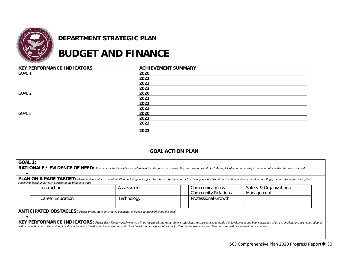![](_page_29_Picture_0.jpeg)

## **DEPARTMENT STRATEGIC PLAN**

## **BUDGET AND FINANCE**

| <b>KEY PERFORMANCE INDICATORS</b> | <b>ACHIEVEMENT SUMMARY</b> |
|-----------------------------------|----------------------------|
| GOAL 1                            | 2020                       |
|                                   | 2021                       |
|                                   | 2022                       |
|                                   | 2023                       |
| GOAL 2                            | 2020                       |
|                                   | 2021                       |
|                                   | 2022                       |
|                                   | 2023                       |
| GOAL 3                            | 2020                       |
|                                   | 2021                       |
|                                   | 2022                       |
|                                   | 2023                       |

### **GOAL ACTION PLAN**

| <b>GOAL 1:</b>                                                                                                                                                                                                                                                                                                                                                                                                                 |                         |            |                                               |  |                                       |  |  |  |
|--------------------------------------------------------------------------------------------------------------------------------------------------------------------------------------------------------------------------------------------------------------------------------------------------------------------------------------------------------------------------------------------------------------------------------|-------------------------|------------|-----------------------------------------------|--|---------------------------------------|--|--|--|
| RATIONALE / EVIDENCE OF NEED: Please describe the evidence used to identify this goal as a priority. Your description should include empirical data and a brief explanation of how the data was collected.                                                                                                                                                                                                                     |                         |            |                                               |  |                                       |  |  |  |
|                                                                                                                                                                                                                                                                                                                                                                                                                                |                         |            |                                               |  |                                       |  |  |  |
| <b>PLAN ON A PAGE TARGET:</b> Please indicate which area of the Plan on A Page is targeted by this goal by typing a "X" in the appropriate box. To verify alignment with the Plan on a Page, please refer to the descriptive<br>statements listed under each element in the Plan on a Page                                                                                                                                     |                         |            |                                               |  |                                       |  |  |  |
|                                                                                                                                                                                                                                                                                                                                                                                                                                | Instruction             | Assessment | Communication &<br><b>Community Relations</b> |  | Safety & Organizational<br>Management |  |  |  |
|                                                                                                                                                                                                                                                                                                                                                                                                                                | <b>Career Education</b> | Technology | Professional Growth                           |  |                                       |  |  |  |
| ANTICIPATED OBSTACLES: Please briefly state anticipated obstacles or threats to accomplishing this goal.                                                                                                                                                                                                                                                                                                                       |                         |            |                                               |  |                                       |  |  |  |
| KEY PERFORMANCE INDICATORS: Please describe how performance will be measured, the research or professional resources used to guide the development and implementation of an action plan, and strategies adopted<br>within the action plan. The action plan should include a timeline for implementation with benchmarks, a description of who is facilitating the strategies, and how progress will be reported and evaluated. |                         |            |                                               |  |                                       |  |  |  |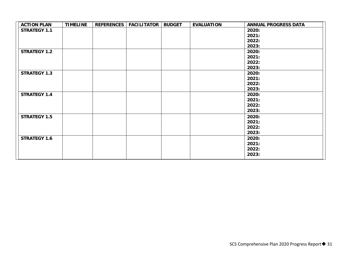| <b>ACTION PLAN</b>  | <b>TIMELINE</b> | REFERENCES   FACILITATOR | <b>BUDGET</b> | <b>EVALUATION</b> | <b>ANNUAL PROGRESS DATA</b> |
|---------------------|-----------------|--------------------------|---------------|-------------------|-----------------------------|
| <b>STRATEGY 1.1</b> |                 |                          |               |                   | 2020:                       |
|                     |                 |                          |               |                   | 2021:                       |
|                     |                 |                          |               |                   | 2022:                       |
|                     |                 |                          |               |                   | 2023:                       |
| <b>STRATEGY 1.2</b> |                 |                          |               |                   | 2020:                       |
|                     |                 |                          |               |                   | 2021:                       |
|                     |                 |                          |               |                   | 2022:                       |
|                     |                 |                          |               |                   | 2023:                       |
| <b>STRATEGY 1.3</b> |                 |                          |               |                   | 2020:                       |
|                     |                 |                          |               |                   | 2021:                       |
|                     |                 |                          |               |                   | 2022:                       |
|                     |                 |                          |               |                   | 2023:                       |
| <b>STRATEGY 1.4</b> |                 |                          |               |                   | 2020:                       |
|                     |                 |                          |               |                   | 2021:                       |
|                     |                 |                          |               |                   | 2022:                       |
|                     |                 |                          |               |                   | 2023:                       |
| <b>STRATEGY 1.5</b> |                 |                          |               |                   | 2020:                       |
|                     |                 |                          |               |                   | 2021:                       |
|                     |                 |                          |               |                   | 2022:                       |
|                     |                 |                          |               |                   | 2023:                       |
| <b>STRATEGY 1.6</b> |                 |                          |               |                   | 2020:                       |
|                     |                 |                          |               |                   | 2021:                       |
|                     |                 |                          |               |                   | 2022:                       |
|                     |                 |                          |               |                   | 2023:                       |
|                     |                 |                          |               |                   |                             |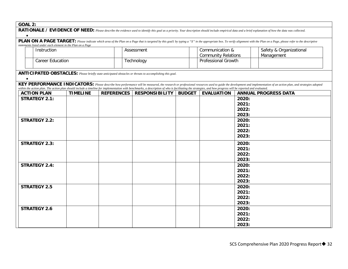| GOAL |  |
|------|--|
|      |  |

| UUNL 4.                                                                                                                                                                                                                            |                                                            |                 |                   |                                                                                                                                                                                                                                      |               |                            |                |                                                                                                                                                                                                                 |  |  |
|------------------------------------------------------------------------------------------------------------------------------------------------------------------------------------------------------------------------------------|------------------------------------------------------------|-----------------|-------------------|--------------------------------------------------------------------------------------------------------------------------------------------------------------------------------------------------------------------------------------|---------------|----------------------------|----------------|-----------------------------------------------------------------------------------------------------------------------------------------------------------------------------------------------------------------|--|--|
|                                                                                                                                                                                                                                    |                                                            |                 |                   |                                                                                                                                                                                                                                      |               |                            |                | RATIONALE / EVIDENCE OF NEED: Please describe the evidence used to identify this goal as a priority. Your description should include empirical data and a brief explanation of how the data was collected.      |  |  |
| <b>PLAN ON A PAGE TARGET:</b> Please indicate which area of the Plan on a Page that is targeted by this goall by typing a "X" in the appropriate box. To verify alignment with the Plan on a Page, please refer to the descriptive |                                                            |                 |                   |                                                                                                                                                                                                                                      |               |                            |                |                                                                                                                                                                                                                 |  |  |
|                                                                                                                                                                                                                                    | statements listed under each element in the Plan on a Page |                 |                   |                                                                                                                                                                                                                                      |               |                            |                |                                                                                                                                                                                                                 |  |  |
|                                                                                                                                                                                                                                    | Instruction                                                |                 |                   | Assessment                                                                                                                                                                                                                           |               | Communication &            |                | Safety & Organizational                                                                                                                                                                                         |  |  |
|                                                                                                                                                                                                                                    |                                                            |                 |                   |                                                                                                                                                                                                                                      |               | <b>Community Relations</b> |                | Management                                                                                                                                                                                                      |  |  |
| Professional Growth<br><b>Career Education</b><br>Technology                                                                                                                                                                       |                                                            |                 |                   |                                                                                                                                                                                                                                      |               |                            |                |                                                                                                                                                                                                                 |  |  |
|                                                                                                                                                                                                                                    |                                                            |                 |                   |                                                                                                                                                                                                                                      |               |                            |                |                                                                                                                                                                                                                 |  |  |
|                                                                                                                                                                                                                                    |                                                            |                 |                   | ANTICIPATED OBSTACLES: Please briefly state anticipated obstacles or threats to accomplishing this goal.                                                                                                                             |               |                            |                |                                                                                                                                                                                                                 |  |  |
|                                                                                                                                                                                                                                    |                                                            |                 |                   |                                                                                                                                                                                                                                      |               |                            |                |                                                                                                                                                                                                                 |  |  |
|                                                                                                                                                                                                                                    |                                                            |                 |                   |                                                                                                                                                                                                                                      |               |                            |                | KEY PERFORMANCE INDICATORS: Please describe how performance will be measured, the research or professional resources used to guide the development and implementation of an action plan, and strategies adopted |  |  |
|                                                                                                                                                                                                                                    | <b>ACTION PLAN</b>                                         | <b>TIMELINE</b> | <b>REFERENCES</b> | within the action plan. The action plan should include a timeline for implementation with benchmarks, a description of who is facilitating the strategies, and how progress will be reported and evaluated.<br><b>RESPONSIBILITY</b> | <b>BUDGET</b> | <b>EVALUATION</b>          |                | <b>ANNUAL PROGRESS DATA</b>                                                                                                                                                                                     |  |  |
|                                                                                                                                                                                                                                    | <b>STRATEGY 2.1:</b>                                       |                 |                   |                                                                                                                                                                                                                                      |               |                            | 2020:          |                                                                                                                                                                                                                 |  |  |
|                                                                                                                                                                                                                                    |                                                            |                 |                   |                                                                                                                                                                                                                                      |               |                            | 2021:          |                                                                                                                                                                                                                 |  |  |
|                                                                                                                                                                                                                                    |                                                            |                 |                   |                                                                                                                                                                                                                                      |               |                            | 2022:          |                                                                                                                                                                                                                 |  |  |
|                                                                                                                                                                                                                                    |                                                            |                 |                   |                                                                                                                                                                                                                                      |               |                            | 2023:          |                                                                                                                                                                                                                 |  |  |
|                                                                                                                                                                                                                                    | <b>STRATEGY 2.2:</b>                                       |                 |                   |                                                                                                                                                                                                                                      |               |                            | 2020:          |                                                                                                                                                                                                                 |  |  |
|                                                                                                                                                                                                                                    |                                                            |                 |                   |                                                                                                                                                                                                                                      |               |                            | 2021:          |                                                                                                                                                                                                                 |  |  |
|                                                                                                                                                                                                                                    |                                                            |                 |                   |                                                                                                                                                                                                                                      |               |                            | 2022:          |                                                                                                                                                                                                                 |  |  |
|                                                                                                                                                                                                                                    |                                                            |                 |                   |                                                                                                                                                                                                                                      |               |                            | 2023:          |                                                                                                                                                                                                                 |  |  |
|                                                                                                                                                                                                                                    | <b>STRATEGY 2.3:</b>                                       |                 |                   |                                                                                                                                                                                                                                      |               |                            | 2020:          |                                                                                                                                                                                                                 |  |  |
|                                                                                                                                                                                                                                    |                                                            |                 |                   |                                                                                                                                                                                                                                      |               |                            | 2021:          |                                                                                                                                                                                                                 |  |  |
|                                                                                                                                                                                                                                    |                                                            |                 |                   |                                                                                                                                                                                                                                      |               |                            | 2022:          |                                                                                                                                                                                                                 |  |  |
|                                                                                                                                                                                                                                    |                                                            |                 |                   |                                                                                                                                                                                                                                      |               |                            | 2023:          |                                                                                                                                                                                                                 |  |  |
|                                                                                                                                                                                                                                    | <b>STRATEGY 2.4:</b>                                       |                 |                   |                                                                                                                                                                                                                                      |               |                            | 2020:          |                                                                                                                                                                                                                 |  |  |
|                                                                                                                                                                                                                                    |                                                            |                 |                   |                                                                                                                                                                                                                                      |               |                            | 2021:          |                                                                                                                                                                                                                 |  |  |
|                                                                                                                                                                                                                                    |                                                            |                 |                   |                                                                                                                                                                                                                                      |               |                            | 2022:          |                                                                                                                                                                                                                 |  |  |
|                                                                                                                                                                                                                                    |                                                            |                 |                   |                                                                                                                                                                                                                                      |               |                            | 2023:          |                                                                                                                                                                                                                 |  |  |
|                                                                                                                                                                                                                                    | <b>STRATEGY 2.5</b>                                        |                 |                   |                                                                                                                                                                                                                                      |               |                            | 2020:          |                                                                                                                                                                                                                 |  |  |
|                                                                                                                                                                                                                                    |                                                            |                 |                   |                                                                                                                                                                                                                                      |               |                            | 2021:          |                                                                                                                                                                                                                 |  |  |
|                                                                                                                                                                                                                                    |                                                            |                 |                   |                                                                                                                                                                                                                                      |               |                            | 2022:          |                                                                                                                                                                                                                 |  |  |
|                                                                                                                                                                                                                                    |                                                            |                 |                   |                                                                                                                                                                                                                                      |               |                            | 2023:          |                                                                                                                                                                                                                 |  |  |
|                                                                                                                                                                                                                                    | <b>STRATEGY 2.6</b>                                        |                 |                   |                                                                                                                                                                                                                                      |               |                            | 2020:          |                                                                                                                                                                                                                 |  |  |
|                                                                                                                                                                                                                                    |                                                            |                 |                   |                                                                                                                                                                                                                                      |               |                            | 2021:          |                                                                                                                                                                                                                 |  |  |
|                                                                                                                                                                                                                                    |                                                            |                 |                   |                                                                                                                                                                                                                                      |               |                            | 2022:<br>2023: |                                                                                                                                                                                                                 |  |  |
|                                                                                                                                                                                                                                    |                                                            |                 |                   |                                                                                                                                                                                                                                      |               |                            |                |                                                                                                                                                                                                                 |  |  |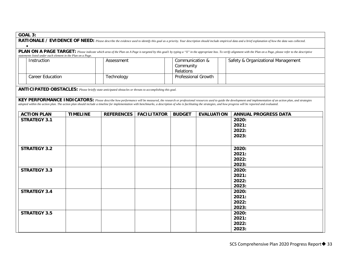|--|

| RATIONALE / EVIDENCE OF NEED: Please describe the evidence used to identify this goal as a priority. Your description should include empirical data and a brief explanation of how the data was collected.                                                                            |  |                 |                                                                                                                 |                                           |                            |                                    |                                                                                                                                                                                                                                                                                                                                                                                                                                |  |  |
|---------------------------------------------------------------------------------------------------------------------------------------------------------------------------------------------------------------------------------------------------------------------------------------|--|-----------------|-----------------------------------------------------------------------------------------------------------------|-------------------------------------------|----------------------------|------------------------------------|--------------------------------------------------------------------------------------------------------------------------------------------------------------------------------------------------------------------------------------------------------------------------------------------------------------------------------------------------------------------------------------------------------------------------------|--|--|
| PLAN ON A PAGE TARGET: Please indicate which area of the Plan on A Page is targeted by this goall by typing a "X" in the appropriate box. To verify alignment with the Plan on a Page, please refer to the descriptive<br>statements listed under each element in the Plan on a Page. |  |                 |                                                                                                                 |                                           |                            |                                    |                                                                                                                                                                                                                                                                                                                                                                                                                                |  |  |
| Instruction                                                                                                                                                                                                                                                                           |  | Assessment      |                                                                                                                 | Communication &<br>Community<br>Relations |                            | Safety & Organizational Management |                                                                                                                                                                                                                                                                                                                                                                                                                                |  |  |
| <b>Career Education</b>                                                                                                                                                                                                                                                               |  |                 | Technology                                                                                                      |                                           | <b>Professional Growth</b> |                                    |                                                                                                                                                                                                                                                                                                                                                                                                                                |  |  |
|                                                                                                                                                                                                                                                                                       |  |                 | <b>ANTICIPATED OBSTACLES:</b> Please briefly state anticipated obstacles or threats to accomplishing this goal. |                                           |                            |                                    |                                                                                                                                                                                                                                                                                                                                                                                                                                |  |  |
|                                                                                                                                                                                                                                                                                       |  |                 |                                                                                                                 |                                           |                            |                                    | KEY PERFORMANCE INDICATORS: Please describe how performance will be measured, the research or professional resources used to guide the development and implementation of an action plan, and strategies<br>adopted within the action plan. The action plan should include a timeline for implementation with benchmarks, a description of who is facilitating the strategies, and how progress will be reported and evaluated. |  |  |
| <b>ACTION PLAN</b>                                                                                                                                                                                                                                                                    |  | <b>TIMELINE</b> | <b>REFERENCES</b>                                                                                               | <b>FACILITATOR</b>                        | <b>BUDGET</b>              | <b>EVALUATION</b>                  | <b>ANNUAL PROGRESS DATA</b>                                                                                                                                                                                                                                                                                                                                                                                                    |  |  |
| <b>STRATEGY 3.1</b>                                                                                                                                                                                                                                                                   |  |                 |                                                                                                                 |                                           |                            |                                    | 2020:<br>2021:<br>2022:<br>2023:                                                                                                                                                                                                                                                                                                                                                                                               |  |  |
| <b>STRATEGY 3.2</b>                                                                                                                                                                                                                                                                   |  |                 |                                                                                                                 |                                           |                            |                                    | 2020:<br>2021:<br>2022:<br>2023:                                                                                                                                                                                                                                                                                                                                                                                               |  |  |
| <b>STRATEGY 3.3</b>                                                                                                                                                                                                                                                                   |  |                 |                                                                                                                 |                                           |                            |                                    | 2020:<br>2021:<br>2022:<br>2023:                                                                                                                                                                                                                                                                                                                                                                                               |  |  |
| <b>STRATEGY 3.4</b>                                                                                                                                                                                                                                                                   |  |                 |                                                                                                                 |                                           |                            |                                    | 2020:<br>2021:<br>2022:<br>2023:                                                                                                                                                                                                                                                                                                                                                                                               |  |  |
| <b>STRATEGY 3.5</b>                                                                                                                                                                                                                                                                   |  |                 |                                                                                                                 |                                           |                            |                                    | 2020:<br>2021:<br>2022:<br>2023:                                                                                                                                                                                                                                                                                                                                                                                               |  |  |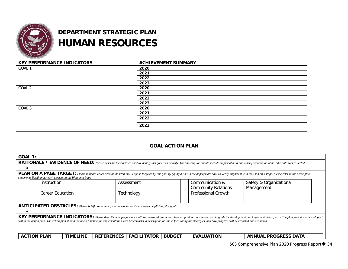![](_page_33_Picture_0.jpeg)

## **DEPARTMENT STRATEGIC PLAN HUMAN RESOURCES**

| <b>KEY PERFORMANCE INDICATORS</b> | <b>ACHIEVEMENT SUMMARY</b> |
|-----------------------------------|----------------------------|
| GOAL 1                            | 2020                       |
|                                   | 2021                       |
|                                   | 2022                       |
|                                   | 2023                       |
| GOAL 2                            | 2020                       |
|                                   | 2021                       |
|                                   | 2022                       |
|                                   | 2023                       |
| GOAL 3                            | 2020                       |
|                                   | 2021                       |
|                                   | 2022                       |
|                                   | 2023                       |

### **GOAL ACTION PLAN**

| <b>GOAL 1:</b>                                                                                                                                                                                                                                                                                                                                                                                                                 |                                                                                                          |                 |                   |                    |               |                                               |                                       |  |  |  |
|--------------------------------------------------------------------------------------------------------------------------------------------------------------------------------------------------------------------------------------------------------------------------------------------------------------------------------------------------------------------------------------------------------------------------------|----------------------------------------------------------------------------------------------------------|-----------------|-------------------|--------------------|---------------|-----------------------------------------------|---------------------------------------|--|--|--|
| RATIONALE / EVIDENCE OF NEED: Please describe the evidence used to identify this goal as a priority. Your description should include empirical data and a brief explanation of how the data was collected.                                                                                                                                                                                                                     |                                                                                                          |                 |                   |                    |               |                                               |                                       |  |  |  |
|                                                                                                                                                                                                                                                                                                                                                                                                                                |                                                                                                          |                 |                   |                    |               |                                               |                                       |  |  |  |
| <b>PLAN ON A PAGE TARGET:</b> Please indicate which area of the Plan on A Page is targeted by this goal by typing a "X" in the appropriate box. To verify alignment with the Plan on a Page, please refer to the descriptive<br>statements listed under each element in the Plan on a Page                                                                                                                                     |                                                                                                          |                 |                   |                    |               |                                               |                                       |  |  |  |
|                                                                                                                                                                                                                                                                                                                                                                                                                                | Instruction                                                                                              |                 |                   | Assessment         |               | Communication &<br><b>Community Relations</b> | Safety & Organizational<br>Management |  |  |  |
|                                                                                                                                                                                                                                                                                                                                                                                                                                | Career Education                                                                                         |                 |                   | Technology         |               | Professional Growth                           |                                       |  |  |  |
|                                                                                                                                                                                                                                                                                                                                                                                                                                | ANTICIPATED OBSTACLES: Please briefly state anticipated obstacles or threats to accomplishing this goal. |                 |                   |                    |               |                                               |                                       |  |  |  |
|                                                                                                                                                                                                                                                                                                                                                                                                                                |                                                                                                          |                 |                   |                    |               |                                               |                                       |  |  |  |
| KEY PERFORMANCE INDICATORS: Please describe how performance will be measured, the research or professional resources used to guide the development and implementation of an action plan, and strategies adopted<br>within the action plan. The action plan should include a timeline for implementation with benchmarks, a description of who is facilitating the strategies, and how progress will be reported and evaluated. |                                                                                                          |                 |                   |                    |               |                                               |                                       |  |  |  |
| <b>ACTION PLAN</b>                                                                                                                                                                                                                                                                                                                                                                                                             |                                                                                                          | <b>TIMELINE</b> | <b>REFERENCES</b> | <b>FACILITATOR</b> | <b>BUDGET</b> | <b>EVALUATION</b>                             | <b>ANNUAL PROGRESS DATA</b>           |  |  |  |
|                                                                                                                                                                                                                                                                                                                                                                                                                                |                                                                                                          |                 |                   |                    |               |                                               |                                       |  |  |  |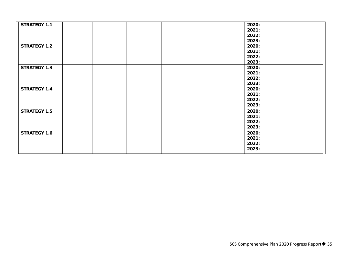| <b>STRATEGY 1.1</b> |  |  | 2020: |
|---------------------|--|--|-------|
|                     |  |  | 2021: |
|                     |  |  | 2022: |
|                     |  |  | 2023: |
| <b>STRATEGY 1.2</b> |  |  | 2020: |
|                     |  |  | 2021: |
|                     |  |  | 2022: |
|                     |  |  | 2023: |
| <b>STRATEGY 1.3</b> |  |  | 2020: |
|                     |  |  | 2021: |
|                     |  |  | 2022: |
|                     |  |  | 2023: |
| <b>STRATEGY 1.4</b> |  |  | 2020: |
|                     |  |  | 2021: |
|                     |  |  | 2022: |
|                     |  |  |       |
|                     |  |  | 2023: |
| <b>STRATEGY 1.5</b> |  |  | 2020: |
|                     |  |  | 2021: |
|                     |  |  | 2022: |
|                     |  |  | 2023: |
| <b>STRATEGY 1.6</b> |  |  | 2020: |
|                     |  |  | 2021: |
|                     |  |  | 2022: |
|                     |  |  | 2023: |
|                     |  |  |       |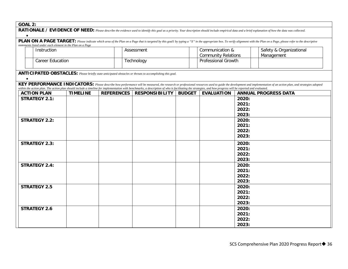| GOAL |  |
|------|--|
|      |  |

| UUNL 4. |                                                                                                                                                                                                                                    |                 |                   |                                                                                                                                                                                                                                      |               |                            |                |                                                                                                                                                                                                                 |
|---------|------------------------------------------------------------------------------------------------------------------------------------------------------------------------------------------------------------------------------------|-----------------|-------------------|--------------------------------------------------------------------------------------------------------------------------------------------------------------------------------------------------------------------------------------|---------------|----------------------------|----------------|-----------------------------------------------------------------------------------------------------------------------------------------------------------------------------------------------------------------|
|         | RATIONALE / EVIDENCE OF NEED: Please describe the evidence used to identify this goal as a priority. Your description should include empirical data and a brief explanation of how the data was collected.                         |                 |                   |                                                                                                                                                                                                                                      |               |                            |                |                                                                                                                                                                                                                 |
|         | <b>PLAN ON A PAGE TARGET:</b> Please indicate which area of the Plan on a Page that is targeted by this goall by typing a "X" in the appropriate box. To verify alignment with the Plan on a Page, please refer to the descriptive |                 |                   |                                                                                                                                                                                                                                      |               |                            |                |                                                                                                                                                                                                                 |
|         | statements listed under each element in the Plan on a Page                                                                                                                                                                         |                 |                   |                                                                                                                                                                                                                                      |               |                            |                |                                                                                                                                                                                                                 |
|         | Instruction                                                                                                                                                                                                                        |                 |                   | Assessment<br>Communication &                                                                                                                                                                                                        |               |                            |                | Safety & Organizational                                                                                                                                                                                         |
|         |                                                                                                                                                                                                                                    |                 |                   |                                                                                                                                                                                                                                      |               | <b>Community Relations</b> |                | Management                                                                                                                                                                                                      |
|         | <b>Career Education</b>                                                                                                                                                                                                            |                 |                   | Professional Growth<br>Technology                                                                                                                                                                                                    |               |                            |                |                                                                                                                                                                                                                 |
|         |                                                                                                                                                                                                                                    |                 |                   |                                                                                                                                                                                                                                      |               |                            |                |                                                                                                                                                                                                                 |
|         |                                                                                                                                                                                                                                    |                 |                   | ANTICIPATED OBSTACLES: Please briefly state anticipated obstacles or threats to accomplishing this goal.                                                                                                                             |               |                            |                |                                                                                                                                                                                                                 |
|         |                                                                                                                                                                                                                                    |                 |                   |                                                                                                                                                                                                                                      |               |                            |                |                                                                                                                                                                                                                 |
|         |                                                                                                                                                                                                                                    |                 |                   |                                                                                                                                                                                                                                      |               |                            |                | KEY PERFORMANCE INDICATORS: Please describe how performance will be measured, the research or professional resources used to guide the development and implementation of an action plan, and strategies adopted |
|         | <b>ACTION PLAN</b>                                                                                                                                                                                                                 | <b>TIMELINE</b> | <b>REFERENCES</b> | within the action plan. The action plan should include a timeline for implementation with benchmarks, a description of who is facilitating the strategies, and how progress will be reported and evaluated.<br><b>RESPONSIBILITY</b> | <b>BUDGET</b> | <b>EVALUATION</b>          |                | <b>ANNUAL PROGRESS DATA</b>                                                                                                                                                                                     |
|         | <b>STRATEGY 2.1:</b>                                                                                                                                                                                                               |                 |                   |                                                                                                                                                                                                                                      |               |                            | 2020:          |                                                                                                                                                                                                                 |
|         |                                                                                                                                                                                                                                    |                 |                   |                                                                                                                                                                                                                                      |               |                            | 2021:          |                                                                                                                                                                                                                 |
|         |                                                                                                                                                                                                                                    |                 |                   |                                                                                                                                                                                                                                      |               |                            | 2022:          |                                                                                                                                                                                                                 |
|         |                                                                                                                                                                                                                                    |                 |                   |                                                                                                                                                                                                                                      |               |                            | 2023:          |                                                                                                                                                                                                                 |
|         | <b>STRATEGY 2.2:</b>                                                                                                                                                                                                               |                 |                   |                                                                                                                                                                                                                                      |               |                            | 2020:          |                                                                                                                                                                                                                 |
|         |                                                                                                                                                                                                                                    |                 |                   |                                                                                                                                                                                                                                      |               |                            | 2021:          |                                                                                                                                                                                                                 |
|         |                                                                                                                                                                                                                                    |                 |                   |                                                                                                                                                                                                                                      |               |                            | 2022:          |                                                                                                                                                                                                                 |
|         |                                                                                                                                                                                                                                    |                 |                   |                                                                                                                                                                                                                                      |               |                            | 2023:          |                                                                                                                                                                                                                 |
|         | <b>STRATEGY 2.3:</b>                                                                                                                                                                                                               |                 |                   |                                                                                                                                                                                                                                      |               |                            | 2020:          |                                                                                                                                                                                                                 |
|         |                                                                                                                                                                                                                                    |                 |                   |                                                                                                                                                                                                                                      |               |                            | 2021:          |                                                                                                                                                                                                                 |
|         |                                                                                                                                                                                                                                    |                 |                   |                                                                                                                                                                                                                                      |               |                            | 2022:          |                                                                                                                                                                                                                 |
|         |                                                                                                                                                                                                                                    |                 |                   |                                                                                                                                                                                                                                      |               |                            | 2023:          |                                                                                                                                                                                                                 |
|         | <b>STRATEGY 2.4:</b>                                                                                                                                                                                                               |                 |                   |                                                                                                                                                                                                                                      |               |                            | 2020:          |                                                                                                                                                                                                                 |
|         |                                                                                                                                                                                                                                    |                 |                   |                                                                                                                                                                                                                                      |               |                            | 2021:          |                                                                                                                                                                                                                 |
|         |                                                                                                                                                                                                                                    |                 |                   |                                                                                                                                                                                                                                      |               |                            | 2022:          |                                                                                                                                                                                                                 |
|         |                                                                                                                                                                                                                                    |                 |                   |                                                                                                                                                                                                                                      |               |                            | 2023:          |                                                                                                                                                                                                                 |
|         | <b>STRATEGY 2.5</b>                                                                                                                                                                                                                |                 |                   |                                                                                                                                                                                                                                      |               |                            | 2020:          |                                                                                                                                                                                                                 |
|         |                                                                                                                                                                                                                                    |                 |                   |                                                                                                                                                                                                                                      |               |                            | 2021:          |                                                                                                                                                                                                                 |
|         |                                                                                                                                                                                                                                    |                 |                   |                                                                                                                                                                                                                                      |               |                            | 2022:          |                                                                                                                                                                                                                 |
|         |                                                                                                                                                                                                                                    |                 |                   |                                                                                                                                                                                                                                      |               |                            | 2023:          |                                                                                                                                                                                                                 |
|         | <b>STRATEGY 2.6</b>                                                                                                                                                                                                                |                 |                   |                                                                                                                                                                                                                                      |               |                            | 2020:<br>2021: |                                                                                                                                                                                                                 |
|         |                                                                                                                                                                                                                                    |                 |                   |                                                                                                                                                                                                                                      |               |                            | 2022:          |                                                                                                                                                                                                                 |
|         |                                                                                                                                                                                                                                    |                 |                   |                                                                                                                                                                                                                                      |               |                            | 2023:          |                                                                                                                                                                                                                 |
|         |                                                                                                                                                                                                                                    |                 |                   |                                                                                                                                                                                                                                      |               |                            |                |                                                                                                                                                                                                                 |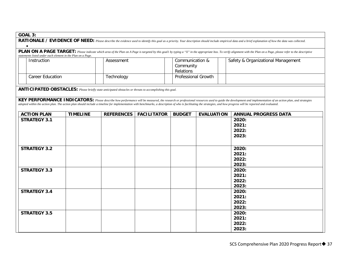|--|

| RATIONALE / EVIDENCE OF NEED: Please describe the evidence used to identify this goal as a priority. Your description should include empirical data and a brief explanation of how the data was collected. |                                                                                                                                                                                                                                                                                       |                 |                                                                                                                 |                    |                            |                              |                                                                                                                                                                                                                                                                                                                                                                                                                                |
|------------------------------------------------------------------------------------------------------------------------------------------------------------------------------------------------------------|---------------------------------------------------------------------------------------------------------------------------------------------------------------------------------------------------------------------------------------------------------------------------------------|-----------------|-----------------------------------------------------------------------------------------------------------------|--------------------|----------------------------|------------------------------|--------------------------------------------------------------------------------------------------------------------------------------------------------------------------------------------------------------------------------------------------------------------------------------------------------------------------------------------------------------------------------------------------------------------------------|
|                                                                                                                                                                                                            | PLAN ON A PAGE TARGET: Please indicate which area of the Plan on A Page is targeted by this goall by typing a "X" in the appropriate box. To verify alignment with the Plan on a Page, please refer to the descriptive<br>statements listed under each element in the Plan on a Page. |                 |                                                                                                                 |                    |                            |                              |                                                                                                                                                                                                                                                                                                                                                                                                                                |
|                                                                                                                                                                                                            | Instruction                                                                                                                                                                                                                                                                           |                 | Assessment                                                                                                      |                    |                            | Communication &<br>Community | Safety & Organizational Management                                                                                                                                                                                                                                                                                                                                                                                             |
|                                                                                                                                                                                                            | <b>Career Education</b>                                                                                                                                                                                                                                                               |                 | Technology                                                                                                      |                    | <b>Professional Growth</b> |                              |                                                                                                                                                                                                                                                                                                                                                                                                                                |
|                                                                                                                                                                                                            |                                                                                                                                                                                                                                                                                       |                 | <b>ANTICIPATED OBSTACLES:</b> Please briefly state anticipated obstacles or threats to accomplishing this goal. |                    |                            |                              |                                                                                                                                                                                                                                                                                                                                                                                                                                |
|                                                                                                                                                                                                            |                                                                                                                                                                                                                                                                                       |                 |                                                                                                                 |                    |                            |                              | KEY PERFORMANCE INDICATORS: Please describe how performance will be measured, the research or professional resources used to guide the development and implementation of an action plan, and strategies<br>adopted within the action plan. The action plan should include a timeline for implementation with benchmarks, a description of who is facilitating the strategies, and how progress will be reported and evaluated. |
| <b>ACTION PLAN</b>                                                                                                                                                                                         |                                                                                                                                                                                                                                                                                       | <b>TIMELINE</b> | <b>REFERENCES</b>                                                                                               | <b>FACILITATOR</b> | <b>BUDGET</b>              | <b>EVALUATION</b>            | <b>ANNUAL PROGRESS DATA</b>                                                                                                                                                                                                                                                                                                                                                                                                    |
| <b>STRATEGY 3.1</b>                                                                                                                                                                                        |                                                                                                                                                                                                                                                                                       |                 |                                                                                                                 |                    |                            |                              | 2020:<br>2021:<br>2022:<br>2023:                                                                                                                                                                                                                                                                                                                                                                                               |
| <b>STRATEGY 3.2</b>                                                                                                                                                                                        |                                                                                                                                                                                                                                                                                       |                 |                                                                                                                 |                    |                            |                              | 2020:<br>2021:<br>2022:<br>2023:                                                                                                                                                                                                                                                                                                                                                                                               |
| <b>STRATEGY 3.3</b>                                                                                                                                                                                        |                                                                                                                                                                                                                                                                                       |                 |                                                                                                                 |                    |                            |                              | 2020:<br>2021:<br>2022:<br>2023:                                                                                                                                                                                                                                                                                                                                                                                               |
| <b>STRATEGY 3.4</b>                                                                                                                                                                                        |                                                                                                                                                                                                                                                                                       |                 |                                                                                                                 |                    |                            |                              | 2020:<br>2021:<br>2022:<br>2023:                                                                                                                                                                                                                                                                                                                                                                                               |
| <b>STRATEGY 3.5</b>                                                                                                                                                                                        |                                                                                                                                                                                                                                                                                       |                 |                                                                                                                 |                    |                            |                              | 2020:<br>2021:<br>2022:<br>2023:                                                                                                                                                                                                                                                                                                                                                                                               |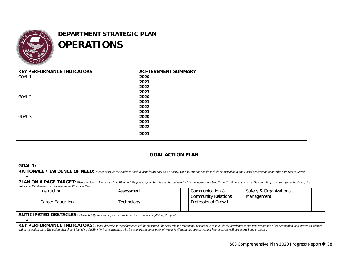![](_page_37_Picture_0.jpeg)

## **DEPARTMENT STRATEGIC PLAN OPERATIONS**

| <b>KEY PERFORMANCE INDICATORS</b> | <b>ACHIEVEMENT SUMMARY</b> |
|-----------------------------------|----------------------------|
| GOAL 1                            | 2020                       |
|                                   | 2021                       |
|                                   | 2022                       |
|                                   | 2023                       |
| GOAL 2                            | 2020                       |
|                                   | 2021                       |
|                                   | 2022                       |
|                                   | 2023                       |
| GOAL 3                            | 2020                       |
|                                   | 2021                       |
|                                   | 2022                       |
|                                   | 2023                       |

### **GOAL ACTION PLAN**

| GOAL 1:                                                                                                         |  |                                                                                                                                                                                                             |  |            |  |                                               |                                                                                                                                                                                                                              |  |
|-----------------------------------------------------------------------------------------------------------------|--|-------------------------------------------------------------------------------------------------------------------------------------------------------------------------------------------------------------|--|------------|--|-----------------------------------------------|------------------------------------------------------------------------------------------------------------------------------------------------------------------------------------------------------------------------------|--|
|                                                                                                                 |  |                                                                                                                                                                                                             |  |            |  |                                               | RATIONALE / EVIDENCE OF NEED: Please describe the evidence used to identify this goal as a priority. Your description should include empirical data and a brief explanation of how the data was collected.                   |  |
|                                                                                                                 |  |                                                                                                                                                                                                             |  |            |  |                                               |                                                                                                                                                                                                                              |  |
|                                                                                                                 |  | statements listed under each element in the Plan on a Page                                                                                                                                                  |  |            |  |                                               | <b>PLAN ON A PAGE TARGET:</b> Please indicate which area of the Plan on A Page is targeted by this goal by typing a "X" in the appropriate box. To verify alignment with the Plan on a Page, please refer to the descriptive |  |
|                                                                                                                 |  | Instruction                                                                                                                                                                                                 |  | Assessment |  | Communication &<br><b>Community Relations</b> | Safety & Organizational<br>Management                                                                                                                                                                                        |  |
|                                                                                                                 |  | <b>Career Education</b>                                                                                                                                                                                     |  | Technology |  | <b>Professional Growth</b>                    |                                                                                                                                                                                                                              |  |
| <b>ANTICIPATED OBSTACLES:</b> Please briefly state anticipated obstacles or threats to accomplishing this goal. |  |                                                                                                                                                                                                             |  |            |  |                                               |                                                                                                                                                                                                                              |  |
|                                                                                                                 |  |                                                                                                                                                                                                             |  |            |  |                                               |                                                                                                                                                                                                                              |  |
|                                                                                                                 |  | within the action plan. The action plan should include a timeline for implementation with benchmarks, a description of who is facilitating the strategies, and how progress will be reported and evaluated. |  |            |  |                                               | KEY PERFORMANCE INDICATORS: Please describe how performance will be measured, the research or professional resources used to guide the development and implementation of an action plan, and strategies adopted              |  |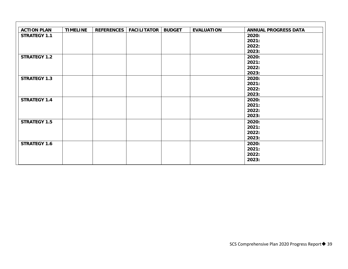| <b>ACTION PLAN</b>  | <b>TIMELINE</b> | <b>REFERENCES</b> | <b>FACILITATOR</b> | <b>BUDGET</b> | <b>EVALUATION</b> | <b>ANNUAL PROGRESS DATA</b> |
|---------------------|-----------------|-------------------|--------------------|---------------|-------------------|-----------------------------|
| <b>STRATEGY 1.1</b> |                 |                   |                    |               |                   | 2020:                       |
|                     |                 |                   |                    |               |                   | 2021:                       |
|                     |                 |                   |                    |               |                   | 2022:                       |
|                     |                 |                   |                    |               |                   | 2023:                       |
| <b>STRATEGY 1.2</b> |                 |                   |                    |               |                   | 2020:                       |
|                     |                 |                   |                    |               |                   | 2021:                       |
|                     |                 |                   |                    |               |                   | 2022:                       |
|                     |                 |                   |                    |               |                   | 2023:                       |
| <b>STRATEGY 1.3</b> |                 |                   |                    |               |                   | 2020:                       |
|                     |                 |                   |                    |               |                   | 2021:                       |
|                     |                 |                   |                    |               |                   | 2022:                       |
|                     |                 |                   |                    |               |                   | 2023:                       |
| <b>STRATEGY 1.4</b> |                 |                   |                    |               |                   | 2020:                       |
|                     |                 |                   |                    |               |                   | 2021:                       |
|                     |                 |                   |                    |               |                   | 2022:                       |
|                     |                 |                   |                    |               |                   | 2023:                       |
| <b>STRATEGY 1.5</b> |                 |                   |                    |               |                   | 2020:                       |
|                     |                 |                   |                    |               |                   | 2021:                       |
|                     |                 |                   |                    |               |                   | 2022:                       |
|                     |                 |                   |                    |               |                   | 2023:                       |
| <b>STRATEGY 1.6</b> |                 |                   |                    |               |                   | 2020:                       |
|                     |                 |                   |                    |               |                   | 2021:                       |
|                     |                 |                   |                    |               |                   | 2022:                       |
|                     |                 |                   |                    |               |                   | 2023:                       |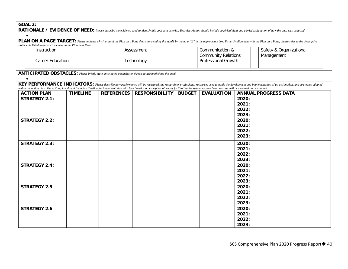| UUNL 4. |                                                                                                                                                                                                                                    |                 |                   |                                                                                                                                                                                                             |               |                            |                |                                                                                                                                                                                                                 |
|---------|------------------------------------------------------------------------------------------------------------------------------------------------------------------------------------------------------------------------------------|-----------------|-------------------|-------------------------------------------------------------------------------------------------------------------------------------------------------------------------------------------------------------|---------------|----------------------------|----------------|-----------------------------------------------------------------------------------------------------------------------------------------------------------------------------------------------------------------|
|         | RATIONALE / EVIDENCE OF NEED: Please describe the evidence used to identify this goal as a priority. Your description should include empirical data and a brief explanation of how the data was collected.                         |                 |                   |                                                                                                                                                                                                             |               |                            |                |                                                                                                                                                                                                                 |
|         | <b>PLAN ON A PAGE TARGET:</b> Please indicate which area of the Plan on a Page that is targeted by this goal1 by typing a "X" in the appropriate box. To verify alignment with the Plan on a Page, please refer to the descriptive |                 |                   |                                                                                                                                                                                                             |               |                            |                |                                                                                                                                                                                                                 |
|         | statements listed under each element in the Plan on a Page<br>Instruction                                                                                                                                                          |                 |                   | Assessment<br>Communication &                                                                                                                                                                               |               |                            |                | Safety & Organizational                                                                                                                                                                                         |
|         |                                                                                                                                                                                                                                    |                 |                   |                                                                                                                                                                                                             |               | <b>Community Relations</b> |                | Management                                                                                                                                                                                                      |
|         | <b>Career Education</b>                                                                                                                                                                                                            |                 |                   | Professional Growth<br>Technology                                                                                                                                                                           |               |                            |                |                                                                                                                                                                                                                 |
|         |                                                                                                                                                                                                                                    |                 |                   | ANTICIPATED OBSTACLES: Please briefly state anticipated obstacles or threats to accomplishing this goal.                                                                                                    |               |                            |                |                                                                                                                                                                                                                 |
|         |                                                                                                                                                                                                                                    |                 |                   | within the action plan. The action plan should include a timeline for implementation with benchmarks, a description of who is facilitating the strategies, and how progress will be reported and evaluated. |               |                            |                | KEY PERFORMANCE INDICATORS: Please describe how performance will be measured, the research or professional resources used to guide the development and implementation of an action plan, and strategies adopted |
|         | <b>ACTION PLAN</b>                                                                                                                                                                                                                 | <b>TIMELINE</b> | <b>REFERENCES</b> | <b>RESPONSIBILITY</b>                                                                                                                                                                                       | <b>BUDGET</b> | <b>EVALUATION</b>          |                | <b>ANNUAL PROGRESS DATA</b>                                                                                                                                                                                     |
|         | <b>STRATEGY 2.1:</b>                                                                                                                                                                                                               |                 |                   |                                                                                                                                                                                                             |               |                            | 2020:          |                                                                                                                                                                                                                 |
|         |                                                                                                                                                                                                                                    |                 |                   |                                                                                                                                                                                                             |               |                            | 2021:<br>2022: |                                                                                                                                                                                                                 |
|         |                                                                                                                                                                                                                                    |                 |                   |                                                                                                                                                                                                             |               |                            | 2023:          |                                                                                                                                                                                                                 |
|         | <b>STRATEGY 2.2:</b>                                                                                                                                                                                                               |                 |                   |                                                                                                                                                                                                             |               |                            | 2020:          |                                                                                                                                                                                                                 |
|         |                                                                                                                                                                                                                                    |                 |                   |                                                                                                                                                                                                             |               |                            | 2021:          |                                                                                                                                                                                                                 |
|         |                                                                                                                                                                                                                                    |                 |                   |                                                                                                                                                                                                             |               |                            | 2022:          |                                                                                                                                                                                                                 |
|         |                                                                                                                                                                                                                                    |                 |                   |                                                                                                                                                                                                             |               |                            | 2023:          |                                                                                                                                                                                                                 |
|         | <b>STRATEGY 2.3:</b>                                                                                                                                                                                                               |                 |                   |                                                                                                                                                                                                             |               |                            | 2020:          |                                                                                                                                                                                                                 |
|         |                                                                                                                                                                                                                                    |                 |                   |                                                                                                                                                                                                             |               |                            | 2021:          |                                                                                                                                                                                                                 |
|         |                                                                                                                                                                                                                                    |                 |                   |                                                                                                                                                                                                             |               |                            | 2022:<br>2023: |                                                                                                                                                                                                                 |
|         | <b>STRATEGY 2.4:</b>                                                                                                                                                                                                               |                 |                   |                                                                                                                                                                                                             |               |                            | 2020:          |                                                                                                                                                                                                                 |
|         |                                                                                                                                                                                                                                    |                 |                   |                                                                                                                                                                                                             |               |                            | 2021:          |                                                                                                                                                                                                                 |
|         |                                                                                                                                                                                                                                    |                 |                   |                                                                                                                                                                                                             |               |                            | 2022:          |                                                                                                                                                                                                                 |
|         |                                                                                                                                                                                                                                    |                 |                   |                                                                                                                                                                                                             |               |                            | 2023:          |                                                                                                                                                                                                                 |
|         | <b>STRATEGY 2.5</b>                                                                                                                                                                                                                |                 |                   |                                                                                                                                                                                                             |               |                            | 2020:          |                                                                                                                                                                                                                 |
|         |                                                                                                                                                                                                                                    |                 |                   |                                                                                                                                                                                                             |               |                            | 2021:          |                                                                                                                                                                                                                 |
|         |                                                                                                                                                                                                                                    |                 |                   |                                                                                                                                                                                                             |               |                            | 2022:<br>2023: |                                                                                                                                                                                                                 |
|         | <b>STRATEGY 2.6</b>                                                                                                                                                                                                                |                 |                   |                                                                                                                                                                                                             |               |                            | 2020:          |                                                                                                                                                                                                                 |
|         |                                                                                                                                                                                                                                    |                 |                   |                                                                                                                                                                                                             |               |                            | 2021:          |                                                                                                                                                                                                                 |
|         |                                                                                                                                                                                                                                    |                 |                   |                                                                                                                                                                                                             |               |                            | 2022:          |                                                                                                                                                                                                                 |
|         |                                                                                                                                                                                                                                    |                 |                   |                                                                                                                                                                                                             |               |                            | 2023:          |                                                                                                                                                                                                                 |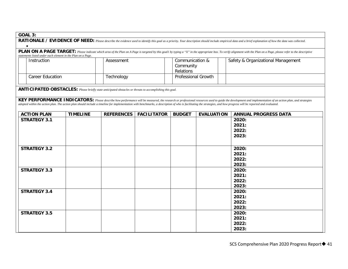|--|

| RATIONALE / EVIDENCE OF NEED: Please describe the evidence used to identify this goal as a priority. Your description should include empirical data and a brief explanation of how the data was collected. |                                                                                                                                                                                                                                                                                       |                 |                                                                                                                 |                    |                            |                              |                                                                                                                                                                                                                                                                                                                                                                                                                                |
|------------------------------------------------------------------------------------------------------------------------------------------------------------------------------------------------------------|---------------------------------------------------------------------------------------------------------------------------------------------------------------------------------------------------------------------------------------------------------------------------------------|-----------------|-----------------------------------------------------------------------------------------------------------------|--------------------|----------------------------|------------------------------|--------------------------------------------------------------------------------------------------------------------------------------------------------------------------------------------------------------------------------------------------------------------------------------------------------------------------------------------------------------------------------------------------------------------------------|
|                                                                                                                                                                                                            | PLAN ON A PAGE TARGET: Please indicate which area of the Plan on A Page is targeted by this goall by typing a "X" in the appropriate box. To verify alignment with the Plan on a Page, please refer to the descriptive<br>statements listed under each element in the Plan on a Page. |                 |                                                                                                                 |                    |                            |                              |                                                                                                                                                                                                                                                                                                                                                                                                                                |
|                                                                                                                                                                                                            | Instruction                                                                                                                                                                                                                                                                           |                 | Assessment                                                                                                      |                    |                            | Communication &<br>Community | Safety & Organizational Management                                                                                                                                                                                                                                                                                                                                                                                             |
|                                                                                                                                                                                                            | <b>Career Education</b>                                                                                                                                                                                                                                                               |                 | Technology                                                                                                      |                    | <b>Professional Growth</b> |                              |                                                                                                                                                                                                                                                                                                                                                                                                                                |
|                                                                                                                                                                                                            |                                                                                                                                                                                                                                                                                       |                 | <b>ANTICIPATED OBSTACLES:</b> Please briefly state anticipated obstacles or threats to accomplishing this goal. |                    |                            |                              |                                                                                                                                                                                                                                                                                                                                                                                                                                |
|                                                                                                                                                                                                            |                                                                                                                                                                                                                                                                                       |                 |                                                                                                                 |                    |                            |                              | KEY PERFORMANCE INDICATORS: Please describe how performance will be measured, the research or professional resources used to guide the development and implementation of an action plan, and strategies<br>adopted within the action plan. The action plan should include a timeline for implementation with benchmarks, a description of who is facilitating the strategies, and how progress will be reported and evaluated. |
| <b>ACTION PLAN</b>                                                                                                                                                                                         |                                                                                                                                                                                                                                                                                       | <b>TIMELINE</b> | <b>REFERENCES</b>                                                                                               | <b>FACILITATOR</b> | <b>BUDGET</b>              | <b>EVALUATION</b>            | <b>ANNUAL PROGRESS DATA</b>                                                                                                                                                                                                                                                                                                                                                                                                    |
| <b>STRATEGY 3.1</b>                                                                                                                                                                                        |                                                                                                                                                                                                                                                                                       |                 |                                                                                                                 |                    |                            |                              | 2020:<br>2021:<br>2022:<br>2023:                                                                                                                                                                                                                                                                                                                                                                                               |
| <b>STRATEGY 3.2</b>                                                                                                                                                                                        |                                                                                                                                                                                                                                                                                       |                 |                                                                                                                 |                    |                            |                              | 2020:<br>2021:<br>2022:<br>2023:                                                                                                                                                                                                                                                                                                                                                                                               |
| <b>STRATEGY 3.3</b>                                                                                                                                                                                        |                                                                                                                                                                                                                                                                                       |                 |                                                                                                                 |                    |                            |                              | 2020:<br>2021:<br>2022:<br>2023:                                                                                                                                                                                                                                                                                                                                                                                               |
| <b>STRATEGY 3.4</b>                                                                                                                                                                                        |                                                                                                                                                                                                                                                                                       |                 |                                                                                                                 |                    |                            |                              | 2020:<br>2021:<br>2022:<br>2023:                                                                                                                                                                                                                                                                                                                                                                                               |
| <b>STRATEGY 3.5</b>                                                                                                                                                                                        |                                                                                                                                                                                                                                                                                       |                 |                                                                                                                 |                    |                            |                              | 2020:<br>2021:<br>2022:<br>2023:                                                                                                                                                                                                                                                                                                                                                                                               |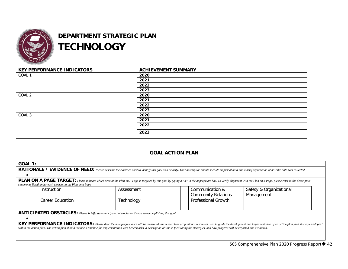![](_page_41_Picture_0.jpeg)

## **DEPARTMENT STRATEGIC PLAN TECHNOLOGY**

| <b>KEY PERFORMANCE INDICATORS</b> | <b>ACHIEVEMENT SUMMARY</b> |
|-----------------------------------|----------------------------|
| GOAL 1                            | 2020                       |
|                                   | 2021                       |
|                                   | 2022                       |
|                                   | 2023                       |
| GOAL 2                            | 2020                       |
|                                   | 2021                       |
|                                   | 2022                       |
|                                   | 2023                       |
| GOAL 3                            | 2020                       |
|                                   | 2021                       |
|                                   | 2022                       |
|                                   | 2023                       |

### **GOAL ACTION PLAN**

|                                                                                                                                                                                                                                                                                                                                                                                                                                | <b>GOAL 1:</b>                                                                                                                                                                                             |            |                            |                         |  |  |  |  |
|--------------------------------------------------------------------------------------------------------------------------------------------------------------------------------------------------------------------------------------------------------------------------------------------------------------------------------------------------------------------------------------------------------------------------------|------------------------------------------------------------------------------------------------------------------------------------------------------------------------------------------------------------|------------|----------------------------|-------------------------|--|--|--|--|
|                                                                                                                                                                                                                                                                                                                                                                                                                                | RATIONALE / EVIDENCE OF NEED: Please describe the evidence used to identify this goal as a priority. Your description should include empirical data and a brief explanation of how the data was collected. |            |                            |                         |  |  |  |  |
|                                                                                                                                                                                                                                                                                                                                                                                                                                |                                                                                                                                                                                                            |            |                            |                         |  |  |  |  |
| <b>PLAN ON A PAGE TARGET:</b> Please indicate which area of the Plan on A Page is targeted by this goal by typing a "X" in the appropriate box. To verify alignment with the Plan on a Page, please refer to the descriptive                                                                                                                                                                                                   |                                                                                                                                                                                                            |            |                            |                         |  |  |  |  |
|                                                                                                                                                                                                                                                                                                                                                                                                                                | statements listed under each element in the Plan on a Page                                                                                                                                                 |            |                            |                         |  |  |  |  |
|                                                                                                                                                                                                                                                                                                                                                                                                                                | Instruction                                                                                                                                                                                                | Assessment | Communication &            | Safety & Organizational |  |  |  |  |
|                                                                                                                                                                                                                                                                                                                                                                                                                                |                                                                                                                                                                                                            |            | <b>Community Relations</b> | Management              |  |  |  |  |
|                                                                                                                                                                                                                                                                                                                                                                                                                                | <b>Career Education</b>                                                                                                                                                                                    | Technology | <b>Professional Growth</b> |                         |  |  |  |  |
| ANTICIPATED OBSTACLES: Please briefly state anticipated obstacles or threats to accomplishing this goal.                                                                                                                                                                                                                                                                                                                       |                                                                                                                                                                                                            |            |                            |                         |  |  |  |  |
| KEY PERFORMANCE INDICATORS: Please describe how performance will be measured, the research or professional resources used to guide the development and implementation of an action plan, and strategies adopted<br>within the action plan. The action plan should include a timeline for implementation with benchmarks, a description of who is facilitating the strategies, and how progress will be reported and evaluated. |                                                                                                                                                                                                            |            |                            |                         |  |  |  |  |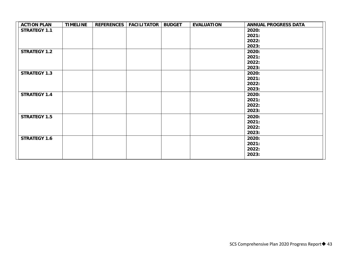| <b>STRATEGY 1.1</b><br>2020:<br>2021:<br>2022:<br>2023:<br><b>STRATEGY 1.2</b><br>2020:<br>2021:<br>2022:<br>2023:<br><b>STRATEGY 1.3</b><br>2020:<br>2021:<br>2022:<br>2023:<br><b>STRATEGY 1.4</b><br>2020:<br>2021:<br>2022:<br>2023:<br><b>STRATEGY 1.5</b><br>2020:<br>2021:<br>2022:<br>2023:<br><b>STRATEGY 1.6</b><br>2020:<br>2021:<br>2022: | <b>ACTION PLAN</b> | <b>TIMELINE</b> | REFERENCES   FACILITATOR | <b>BUDGET</b> | <b>EVALUATION</b> | <b>ANNUAL PROGRESS DATA</b> |
|-------------------------------------------------------------------------------------------------------------------------------------------------------------------------------------------------------------------------------------------------------------------------------------------------------------------------------------------------------|--------------------|-----------------|--------------------------|---------------|-------------------|-----------------------------|
|                                                                                                                                                                                                                                                                                                                                                       |                    |                 |                          |               |                   |                             |
|                                                                                                                                                                                                                                                                                                                                                       |                    |                 |                          |               |                   |                             |
|                                                                                                                                                                                                                                                                                                                                                       |                    |                 |                          |               |                   |                             |
|                                                                                                                                                                                                                                                                                                                                                       |                    |                 |                          |               |                   |                             |
|                                                                                                                                                                                                                                                                                                                                                       |                    |                 |                          |               |                   |                             |
|                                                                                                                                                                                                                                                                                                                                                       |                    |                 |                          |               |                   |                             |
|                                                                                                                                                                                                                                                                                                                                                       |                    |                 |                          |               |                   |                             |
|                                                                                                                                                                                                                                                                                                                                                       |                    |                 |                          |               |                   |                             |
|                                                                                                                                                                                                                                                                                                                                                       |                    |                 |                          |               |                   |                             |
|                                                                                                                                                                                                                                                                                                                                                       |                    |                 |                          |               |                   |                             |
|                                                                                                                                                                                                                                                                                                                                                       |                    |                 |                          |               |                   |                             |
|                                                                                                                                                                                                                                                                                                                                                       |                    |                 |                          |               |                   |                             |
|                                                                                                                                                                                                                                                                                                                                                       |                    |                 |                          |               |                   |                             |
|                                                                                                                                                                                                                                                                                                                                                       |                    |                 |                          |               |                   |                             |
|                                                                                                                                                                                                                                                                                                                                                       |                    |                 |                          |               |                   |                             |
|                                                                                                                                                                                                                                                                                                                                                       |                    |                 |                          |               |                   |                             |
|                                                                                                                                                                                                                                                                                                                                                       |                    |                 |                          |               |                   |                             |
|                                                                                                                                                                                                                                                                                                                                                       |                    |                 |                          |               |                   |                             |
|                                                                                                                                                                                                                                                                                                                                                       |                    |                 |                          |               |                   |                             |
|                                                                                                                                                                                                                                                                                                                                                       |                    |                 |                          |               |                   |                             |
|                                                                                                                                                                                                                                                                                                                                                       |                    |                 |                          |               |                   |                             |
|                                                                                                                                                                                                                                                                                                                                                       |                    |                 |                          |               |                   |                             |
|                                                                                                                                                                                                                                                                                                                                                       |                    |                 |                          |               |                   |                             |
| 2023:                                                                                                                                                                                                                                                                                                                                                 |                    |                 |                          |               |                   |                             |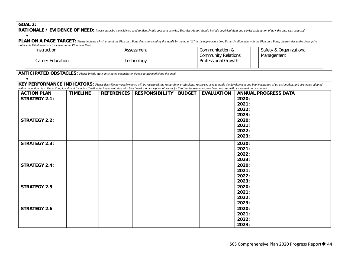| GOAL |  |
|------|--|
|      |  |

| UUNL 4.                                                                                                                                                                                                    |                                                            |                 |                   |                                                                                                                                                                                                             |                            |                     |            |                                                                                                                                                                                                                                    |
|------------------------------------------------------------------------------------------------------------------------------------------------------------------------------------------------------------|------------------------------------------------------------|-----------------|-------------------|-------------------------------------------------------------------------------------------------------------------------------------------------------------------------------------------------------------|----------------------------|---------------------|------------|------------------------------------------------------------------------------------------------------------------------------------------------------------------------------------------------------------------------------------|
| RATIONALE / EVIDENCE OF NEED: Please describe the evidence used to identify this goal as a priority. Your description should include empirical data and a brief explanation of how the data was collected. |                                                            |                 |                   |                                                                                                                                                                                                             |                            |                     |            |                                                                                                                                                                                                                                    |
|                                                                                                                                                                                                            |                                                            |                 |                   |                                                                                                                                                                                                             |                            |                     |            | <b>PLAN ON A PAGE TARGET:</b> Please indicate which area of the Plan on a Page that is targeted by this goall by typing a "X" in the appropriate box. To verify alignment with the Plan on a Page, please refer to the descriptive |
|                                                                                                                                                                                                            | statements listed under each element in the Plan on a Page |                 |                   |                                                                                                                                                                                                             |                            |                     |            |                                                                                                                                                                                                                                    |
|                                                                                                                                                                                                            | Instruction                                                |                 |                   | Assessment                                                                                                                                                                                                  |                            | Communication &     |            | Safety & Organizational                                                                                                                                                                                                            |
|                                                                                                                                                                                                            |                                                            |                 |                   |                                                                                                                                                                                                             | <b>Community Relations</b> |                     | Management |                                                                                                                                                                                                                                    |
|                                                                                                                                                                                                            | <b>Career Education</b>                                    |                 |                   | Technology                                                                                                                                                                                                  |                            | Professional Growth |            |                                                                                                                                                                                                                                    |
|                                                                                                                                                                                                            |                                                            |                 |                   |                                                                                                                                                                                                             |                            |                     |            |                                                                                                                                                                                                                                    |
|                                                                                                                                                                                                            |                                                            |                 |                   | ANTICIPATED OBSTACLES: Please briefly state anticipated obstacles or threats to accomplishing this goal.                                                                                                    |                            |                     |            |                                                                                                                                                                                                                                    |
|                                                                                                                                                                                                            |                                                            |                 |                   |                                                                                                                                                                                                             |                            |                     |            |                                                                                                                                                                                                                                    |
|                                                                                                                                                                                                            |                                                            |                 |                   |                                                                                                                                                                                                             |                            |                     |            | KEY PERFORMANCE INDICATORS: Please describe how performance will be measured, the research or professional resources used to guide the development and implementation of an action plan, and strategies adopted                    |
|                                                                                                                                                                                                            |                                                            |                 |                   | within the action plan. The action plan should include a timeline for implementation with benchmarks, a description of who is facilitating the strategies, and how progress will be reported and evaluated. |                            |                     |            |                                                                                                                                                                                                                                    |
|                                                                                                                                                                                                            | <b>ACTION PLAN</b>                                         | <b>TIMELINE</b> | <b>REFERENCES</b> | <b>RESPONSIBILITY</b>                                                                                                                                                                                       | <b>BUDGET</b>              | <b>EVALUATION</b>   |            | <b>ANNUAL PROGRESS DATA</b>                                                                                                                                                                                                        |
|                                                                                                                                                                                                            | <b>STRATEGY 2.1:</b>                                       |                 |                   |                                                                                                                                                                                                             |                            |                     | 2020:      |                                                                                                                                                                                                                                    |
|                                                                                                                                                                                                            |                                                            |                 |                   |                                                                                                                                                                                                             |                            |                     | 2021:      |                                                                                                                                                                                                                                    |
|                                                                                                                                                                                                            |                                                            |                 |                   |                                                                                                                                                                                                             |                            |                     | 2022:      |                                                                                                                                                                                                                                    |
|                                                                                                                                                                                                            |                                                            |                 |                   |                                                                                                                                                                                                             |                            |                     | 2023:      |                                                                                                                                                                                                                                    |
|                                                                                                                                                                                                            | <b>STRATEGY 2.2:</b>                                       |                 |                   |                                                                                                                                                                                                             |                            |                     | 2020:      |                                                                                                                                                                                                                                    |
|                                                                                                                                                                                                            |                                                            |                 |                   |                                                                                                                                                                                                             |                            |                     | 2021:      |                                                                                                                                                                                                                                    |
|                                                                                                                                                                                                            |                                                            |                 |                   |                                                                                                                                                                                                             |                            |                     | 2022:      |                                                                                                                                                                                                                                    |
|                                                                                                                                                                                                            |                                                            |                 |                   |                                                                                                                                                                                                             |                            |                     | 2023:      |                                                                                                                                                                                                                                    |
|                                                                                                                                                                                                            | <b>STRATEGY 2.3:</b>                                       |                 |                   |                                                                                                                                                                                                             |                            |                     | 2020:      |                                                                                                                                                                                                                                    |
|                                                                                                                                                                                                            |                                                            |                 |                   |                                                                                                                                                                                                             |                            |                     | 2021:      |                                                                                                                                                                                                                                    |
|                                                                                                                                                                                                            |                                                            |                 |                   |                                                                                                                                                                                                             |                            |                     | 2022:      |                                                                                                                                                                                                                                    |
|                                                                                                                                                                                                            |                                                            |                 |                   |                                                                                                                                                                                                             |                            |                     | 2023:      |                                                                                                                                                                                                                                    |
|                                                                                                                                                                                                            | <b>STRATEGY 2.4:</b>                                       |                 |                   |                                                                                                                                                                                                             |                            |                     | 2020:      |                                                                                                                                                                                                                                    |
|                                                                                                                                                                                                            |                                                            |                 |                   |                                                                                                                                                                                                             |                            |                     | 2021:      |                                                                                                                                                                                                                                    |
|                                                                                                                                                                                                            |                                                            |                 |                   |                                                                                                                                                                                                             |                            |                     | 2022:      |                                                                                                                                                                                                                                    |
|                                                                                                                                                                                                            |                                                            |                 |                   |                                                                                                                                                                                                             |                            |                     | 2023:      |                                                                                                                                                                                                                                    |
|                                                                                                                                                                                                            | <b>STRATEGY 2.5</b>                                        |                 |                   |                                                                                                                                                                                                             |                            |                     | 2020:      |                                                                                                                                                                                                                                    |
|                                                                                                                                                                                                            |                                                            |                 |                   |                                                                                                                                                                                                             |                            |                     | 2021:      |                                                                                                                                                                                                                                    |
|                                                                                                                                                                                                            |                                                            |                 |                   |                                                                                                                                                                                                             |                            |                     | 2022:      |                                                                                                                                                                                                                                    |
|                                                                                                                                                                                                            |                                                            |                 |                   |                                                                                                                                                                                                             |                            |                     | 2023:      |                                                                                                                                                                                                                                    |
|                                                                                                                                                                                                            | <b>STRATEGY 2.6</b>                                        |                 |                   |                                                                                                                                                                                                             |                            |                     | 2020:      |                                                                                                                                                                                                                                    |
|                                                                                                                                                                                                            |                                                            |                 |                   |                                                                                                                                                                                                             |                            |                     | 2021:      |                                                                                                                                                                                                                                    |
|                                                                                                                                                                                                            |                                                            |                 |                   |                                                                                                                                                                                                             |                            |                     | 2022:      |                                                                                                                                                                                                                                    |
|                                                                                                                                                                                                            |                                                            |                 |                   |                                                                                                                                                                                                             |                            |                     | 2023:      |                                                                                                                                                                                                                                    |
|                                                                                                                                                                                                            |                                                            |                 |                   |                                                                                                                                                                                                             |                            |                     |            |                                                                                                                                                                                                                                    |